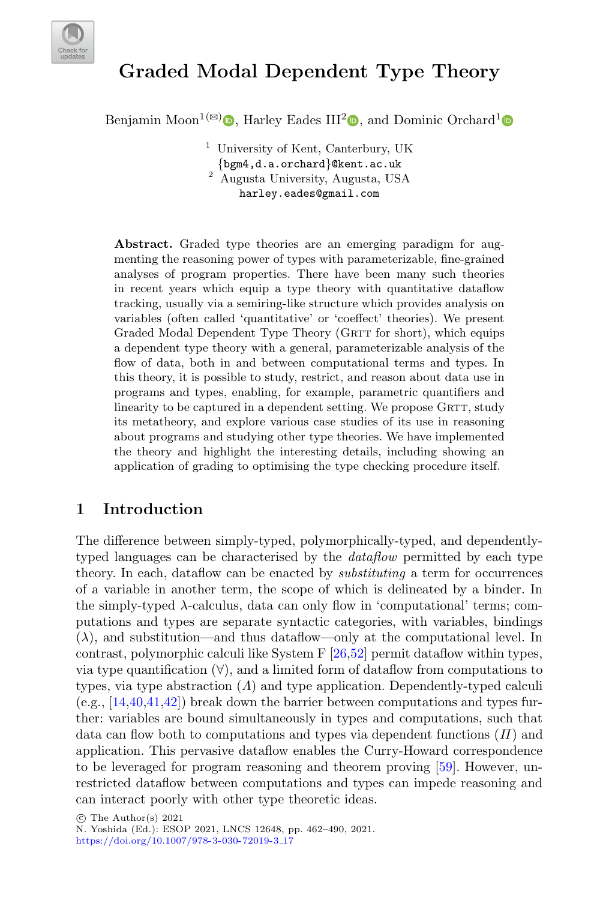

# **Graded Modal Dependent Type Theory**

Benjamin Moon<sup>1( $\boxtimes$ )</sup><sup>O</sup>[,](http://orcid.org/0000-0001-8474-5971) Harley Eades III<sup>2</sup><sup>O</sup>, and Dominic Orchard<sup>1</sup>

<sup>1</sup> University of Kent, Canterbury, UK  $\{bgm4,d.a.$ orchard $\}$ @kent.ac.uk 2 Augusta University, Augusta, USA harley.eades@gmail.com

**Abstract.** Graded type theories are an emerging paradigm for augmenting the reasoning power of types with parameterizable, fine-grained analyses of program properties. There have been many such theories in recent years which equip a type theory with quantitative dataflow tracking, usually via a semiring-like structure which provides analysis on variables (often called 'quantitative' or 'coeffect' theories). We present Graded Modal Dependent Type Theory (GRTT for short), which equips a dependent type theory with a general, parameterizable analysis of the flow of data, both in and between computational terms and types. In this theory, it is possible to study, restrict, and reason about data use in programs and types, enabling, for example, parametric quantifiers and linearity to be captured in a dependent setting. We propose GRTT, study its metatheory, and explore various case studies of its use in reasoning about programs and studying other type theories. We have implemented the theory and highlight the interesting details, including showing an application of grading to optimising the type checking procedure itself.

## <span id="page-0-0"></span>**1 Introduction**

The difference between simply-typed, polymorphically-typed, and dependentlytyped languages can be characterised by the *dataflow* permitted by each type theory. In each, dataflow can be enacted by substituting a term for occurrences of a variable in another term, the scope of which is delineated by a binder. In the simply-typed λ-calculus, data can only flow in 'computational' terms; computations and types are separate syntactic categories, with variables, bindings  $(\lambda)$ , and substitution—and thus dataflow—only at the computational level. In contrast, polymorphic calculi like System F [\[26,](#page-26-0)[52\]](#page-28-0) permit dataflow within types, via type quantification  $(\forall)$ , and a limited form of dataflow from computations to types, via type abstraction  $(A)$  and type application. Dependently-typed calculi  $(e.g., [14,40,41,42])$  $(e.g., [14,40,41,42])$  $(e.g., [14,40,41,42])$  $(e.g., [14,40,41,42])$  $(e.g., [14,40,41,42])$  $(e.g., [14,40,41,42])$  break down the barrier between computations and types further: variables are bound simultaneously in types and computations, such that data can flow both to computations and types via dependent functions  $(H)$  and application. This pervasive dataflow enables the Curry-Howard correspondence to be leveraged for program reasoning and theorem proving [\[59\]](#page-28-1). However, unrestricted dataflow between computations and types can impede reasoning and can interact poorly with other type theoretic ideas.

<sup>-</sup>c The Author(s) 2021 N. Yoshida (Ed.): ESOP 2021, LNCS 12648, pp. 462–490, 2021. [https://doi.org/10.1007/978-3-030-72019-3](https://doi.org/10.1007/978-3-030-72019-3_17) 17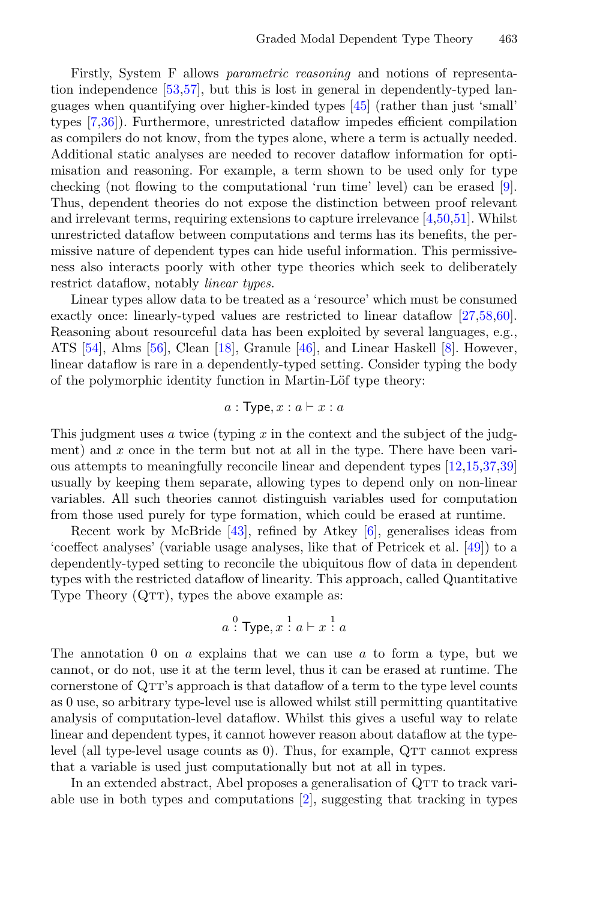Firstly, System F allows parametric reasoning and notions of representation independence [\[53,](#page-28-2)[57\]](#page-28-3), but this is lost in general in dependently-typed languages when quantifying over higher-kinded types [\[45\]](#page-27-3) (rather than just 'small' types [\[7,](#page-25-1)[36\]](#page-27-4)). Furthermore, unrestricted dataflow impedes efficient compilation as compilers do not know, from the types alone, where a term is actually needed. Additional static analyses are needed to recover dataflow information for optimisation and reasoning. For example, a term shown to be used only for type checking (not flowing to the computational 'run time' level) can be erased [\[9\]](#page-25-2). Thus, dependent theories do not expose the distinction between proof relevant and irrelevant terms, requiring extensions to capture irrelevance [\[4,](#page-25-3)[50,](#page-28-4)[51\]](#page-28-5). Whilst unrestricted dataflow between computations and terms has its benefits, the permissive nature of dependent types can hide useful information. This permissiveness also interacts poorly with other type theories which seek to deliberately restrict dataflow, notably linear types.

Linear types allow data to be treated as a 'resource' which must be consumed exactly once: linearly-typed values are restricted to linear dataflow [\[27,](#page-26-1)[58,](#page-28-6)[60\]](#page-28-7). Reasoning about resourceful data has been exploited by several languages, e.g., ATS [\[54\]](#page-28-8), Alms [\[56\]](#page-28-9), Clean [\[18\]](#page-26-2), Granule [\[46\]](#page-27-5), and Linear Haskell [\[8\]](#page-25-4). However, linear dataflow is rare in a dependently-typed setting. Consider typing the body of the polymorphic identity function in Martin-Löf type theory:

$$
a: \mathsf{Type}, x: a \vdash x: a
$$

This judgment uses a twice (typing  $x$  in the context and the subject of the judgment) and  $x$  once in the term but not at all in the type. There have been various attempts to meaningfully reconcile linear and dependent types [\[12,](#page-25-5)[15,](#page-25-6)[37,](#page-27-6)[39\]](#page-27-7) usually by keeping them separate, allowing types to depend only on non-linear variables. All such theories cannot distinguish variables used for computation from those used purely for type formation, which could be erased at runtime.

Recent work by McBride [\[43\]](#page-27-8), refined by Atkey [\[6\]](#page-25-7), generalises ideas from 'coeffect analyses' (variable usage analyses, like that of Petricek et al. [\[49\]](#page-27-9)) to a dependently-typed setting to reconcile the ubiquitous flow of data in dependent types with the restricted dataflow of linearity. This approach, called Quantitative Type Theory  $(QTT)$ , types the above example as:

$$
a \stackrel{0}{:} \text{Type}, x \stackrel{1}{:} a \vdash x \stackrel{1}{:} a
$$

The annotation 0 on  $a$  explains that we can use  $a$  to form a type, but we cannot, or do not, use it at the term level, thus it can be erased at runtime. The cornerstone of QTT's approach is that dataflow of a term to the type level counts as 0 use, so arbitrary type-level use is allowed whilst still permitting quantitative analysis of computation-level dataflow. Whilst this gives a useful way to relate linear and dependent types, it cannot however reason about dataflow at the typelevel (all type-level usage counts as  $0$ ). Thus, for example,  $QTT$  cannot express that a variable is used just computationally but not at all in types.

In an extended abstract, Abel proposes a generalisation of QTT to track variable use in both types and computations [\[2\]](#page-25-8), suggesting that tracking in types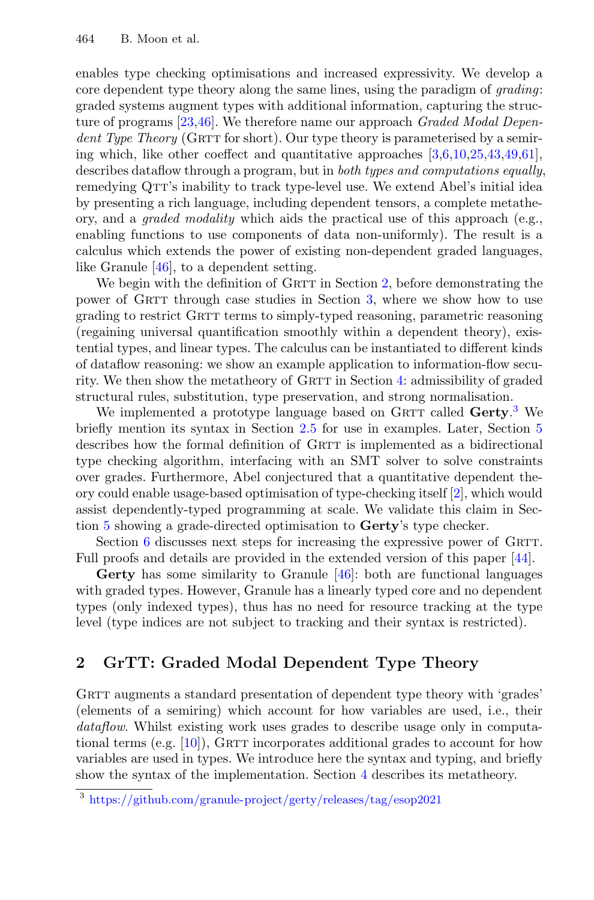enables type checking optimisations and increased expressivity. We develop a core dependent type theory along the same lines, using the paradigm of *grading*: graded systems augment types with additional information, capturing the structure of programs [\[23,](#page-26-3)[46\]](#page-27-5). We therefore name our approach Graded Modal Dependent Type Theory (GRTT for short). Our type theory is parameterised by a semiing which, like other coeffect and quantitative approaches  $[3,6,10,25,43,49,61]$  $[3,6,10,25,43,49,61]$  $[3,6,10,25,43,49,61]$  $[3,6,10,25,43,49,61]$  $[3,6,10,25,43,49,61]$  $[3,6,10,25,43,49,61]$  $[3,6,10,25,43,49,61]$ , describes dataflow through a program, but in both types and computations equally, remedying QTT's inability to track type-level use. We extend Abel's initial idea by presenting a rich language, including dependent tensors, a complete metatheory, and a *graded modality* which aids the practical use of this approach (e.g., enabling functions to use components of data non-uniformly). The result is a calculus which extends the power of existing non-dependent graded languages, like Granule [\[46\]](#page-27-5), to a dependent setting.

We begin with the definition of GRTT in Section [2,](#page-2-0) before demonstrating the power of GRTT through case studies in Section [3,](#page-9-0) where we show how to use grading to restrict GRTT terms to simply-typed reasoning, parametric reasoning (regaining universal quantification smoothly within a dependent theory), existential types, and linear types. The calculus can be instantiated to different kinds of dataflow reasoning: we show an example application to information-flow secu-rity. We then show the metatheory of GRTT in Section [4:](#page-15-0) admissibility of graded structural rules, substitution, type preservation, and strong normalisation.

We implemented a prototype language based on GRTT called Gerty.<sup>[3](#page-2-1)</sup> We briefly mention its syntax in Section [2.5](#page-8-0) for use in examples. Later, Section [5](#page-20-0) describes how the formal definition of GRTT is implemented as a bidirectional type checking algorithm, interfacing with an SMT solver to solve constraints over grades. Furthermore, Abel conjectured that a quantitative dependent theory could enable usage-based optimisation of type-checking itself [\[2\]](#page-25-8), which would assist dependently-typed programming at scale. We validate this claim in Section [5](#page-20-0) showing a grade-directed optimisation to **Gerty**'s type checker.

Section [6](#page-22-0) discusses next steps for increasing the expressive power of GRTT. Full proofs and details are provided in the extended version of this paper [\[44\]](#page-27-10).

**Gerty** has some similarity to Granule [\[46\]](#page-27-5): both are functional languages with graded types. However, Granule has a linearly typed core and no dependent types (only indexed types), thus has no need for resource tracking at the type level (type indices are not subject to tracking and their syntax is restricted).

# <span id="page-2-0"></span>**2 GrTT: Graded Modal Dependent Type Theory**

GRTT augments a standard presentation of dependent type theory with 'grades' (elements of a semiring) which account for how variables are used, i.e., their dataflow. Whilst existing work uses grades to describe usage only in computational terms (e.g.  $[10]$ ), GRTT incorporates additional grades to account for how variables are used in types. We introduce here the syntax and typing, and briefly show the syntax of the implementation. Section [4](#page-15-0) describes its metatheory.

<span id="page-2-1"></span><sup>3</sup> <https://github.com/granule-project/gerty/releases/tag/esop2021>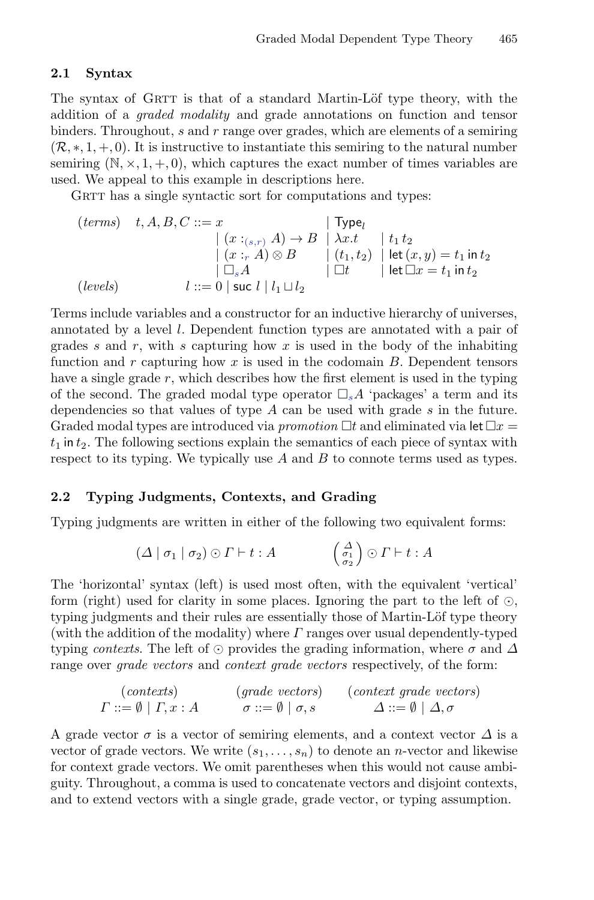#### **2.1 Syntax**

The syntax of GRTT is that of a standard Martin-Löf type theory, with the addition of a graded modality and grade annotations on function and tensor binders. Throughout,  $s$  and  $r$  range over grades, which are elements of a semiring  $(\mathcal{R},*,1,+,0)$ . It is instructive to instantiate this semiring to the natural number semiring  $(N, \times, 1, +, 0)$ , which captures the exact number of times variables are used. We appeal to this example in descriptions here.

GRTT has a single syntactic sort for computations and types:

$$
(terms) \quad t, A, B, C ::= x
$$
\n
$$
| (x :_{(s,r)} A) \rightarrow B | \lambda x. t | t_1 t_2
$$
\n
$$
| (x :_{r} A) \otimes B | (t_1, t_2) | let (x, y) = t_1 in t_2
$$
\n
$$
l ::= 0 | \text{ suc } l | l_1 \sqcup l_2
$$
\n
$$
| l_1 \sqcup l_2 |
$$

Terms include variables and a constructor for an inductive hierarchy of universes, annotated by a level l. Dependent function types are annotated with a pair of grades s and r, with s capturing how x is used in the body of the inhabiting function and r capturing how x is used in the codomain  $B$ . Dependent tensors have a single grade  $r$ , which describes how the first element is used in the typing of the second. The graded modal type operator  $\Box_s A$  'packages' a term and its dependencies so that values of type A can be used with grade s in the future. Graded modal types are introduced via *promotion*  $\Box t$  and eliminated via let  $\Box x$  $t_1$  in  $t_2$ . The following sections explain the semantics of each piece of syntax with respect to its typing. We typically use  $A$  and  $B$  to connote terms used as types.

#### **2.2 Typing Judgments, Contexts, and Grading**

Typing judgments are written in either of the following two equivalent forms:

$$
(\Delta \mid \sigma_1 \mid \sigma_2) \odot \Gamma \vdash t : A \qquad \begin{pmatrix} \Delta \\ \sigma_1 \\ \sigma_2 \end{pmatrix} \odot \Gamma \vdash t : A
$$

The 'horizontal' syntax (left) is used most often, with the equivalent 'vertical' form (right) used for clarity in some places. Ignoring the part to the left of  $\odot$ , typing judgments and their rules are essentially those of Martin-Löf type theory (with the addition of the modality) where  $\Gamma$  ranges over usual dependently-typed typing contexts. The left of  $\odot$  provides the grading information, where  $\sigma$  and  $\Delta$ range over *grade vectors* and *context grade vectors* respectively, of the form:

$$
\begin{array}{lll}\n\text{(contexts)} & \text{(grade vectors)} & \text{(context grade vectors)} \\
\Gamma ::= \emptyset \mid \Gamma, x : A & \sigma ::= \emptyset \mid \sigma, s & \Delta ::= \emptyset \mid \Delta, \sigma\n\end{array}
$$

A grade vector  $\sigma$  is a vector of semiring elements, and a context vector  $\Delta$  is a vector of grade vectors. We write  $(s_1,\ldots,s_n)$  to denote an *n*-vector and likewise for context grade vectors. We omit parentheses when this would not cause ambiguity. Throughout, a comma is used to concatenate vectors and disjoint contexts, and to extend vectors with a single grade, grade vector, or typing assumption.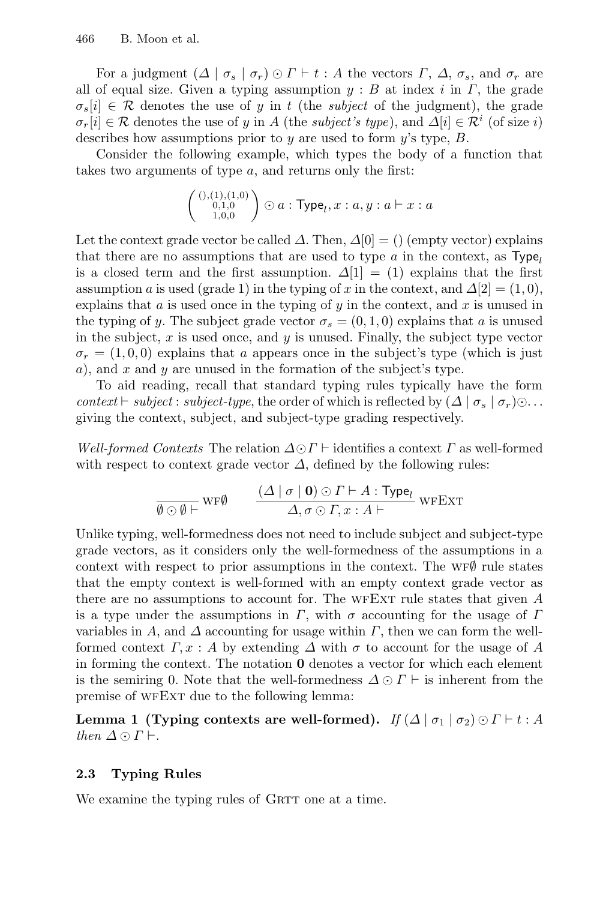For a judgment  $(\Delta \mid \sigma_s \mid \sigma_r) \odot \Gamma \vdash t : A$  the vectors  $\Gamma$ ,  $\Delta$ ,  $\sigma_s$ , and  $\sigma_r$  are all of equal size. Given a typing assumption  $y : B$  at index i in  $\Gamma$ , the grade  $\sigma_s[i] \in \mathcal{R}$  denotes the use of y in t (the *subject* of the judgment), the grade  $\sigma_r[i] \in \mathcal{R}$  denotes the use of y in A (the subject's type), and  $\Delta[i] \in \mathcal{R}^i$  (of size i) describes how assumptions prior to y are used to form y's type,  $B$ .

Consider the following example, which types the body of a function that takes two arguments of type a, and returns only the first:

$$
\left(\begin{smallmatrix}(),(1),(1,0)\\0,1,0\\1,0,0\end{smallmatrix}\right)\odot a:\mathsf{Type}_l,x:a,y:a\vdash x:a
$$

Let the context grade vector be called  $\Delta$ . Then,  $\Delta[0] = ()$  (empty vector) explains that there are no assumptions that are used to type  $\alpha$  in the context, as Type<sub>l</sub> is a closed term and the first assumption.  $\Delta[1] = (1)$  explains that the first assumption a is used (grade 1) in the typing of x in the context, and  $\Delta[2] = (1, 0)$ , explains that  $a$  is used once in the typing of  $y$  in the context, and  $x$  is unused in the typing of y. The subject grade vector  $\sigma_s = (0, 1, 0)$  explains that a is unused in the subject,  $x$  is used once, and  $y$  is unused. Finally, the subject type vector  $\sigma_r = (1, 0, 0)$  explains that a appears once in the subject's type (which is just a), and x and y are unused in the formation of the subject's type.

To aid reading, recall that standard typing rules typically have the form context  $\vdash$  subject : subject-type, the order of which is reflected by  $(\Delta | \sigma_s | \sigma_r) \odot \ldots$ giving the context, subject, and subject-type grading respectively.

Well-formed Contexts The relation  $\Delta \odot \Gamma$  + identifies a context  $\Gamma$  as well-formed with respect to context grade vector  $\Delta$ , defined by the following rules:

$$
\frac{(\Delta \mid \sigma \mid \mathbf{0}) \odot \Gamma \vdash A : \text{Type}_l}{\Delta, \sigma \odot \Gamma, x : A \vdash}
$$
WFEXT

Unlike typing, well-formedness does not need to include subject and subject-type grade vectors, as it considers only the well-formedness of the assumptions in a context with respect to prior assumptions in the context. The WF $\emptyset$  rule states that the empty context is well-formed with an empty context grade vector as there are no assumptions to account for. The WFEXT rule states that given  $A$ is a type under the assumptions in  $\Gamma$ , with  $\sigma$  accounting for the usage of  $\Gamma$ variables in A, and  $\Delta$  accounting for usage within  $\Gamma$ , then we can form the wellformed context  $\Gamma, x : A$  by extending  $\Delta$  with  $\sigma$  to account for the usage of A in forming the context. The notation **0** denotes a vector for which each element is the semiring 0. Note that the well-formedness  $\Delta \odot \Gamma$   $\vdash$  is inherent from the premise of WFEXT due to the following lemma:

**Lemma 1 (Typing contexts are well-formed).** If  $(\Delta | \sigma_1 | \sigma_2) \odot \Gamma \vdash t : A$ then  $\Delta \odot \Gamma$   $\vdash$ .

#### **2.3 Typing Rules**

We examine the typing rules of GRTT one at a time.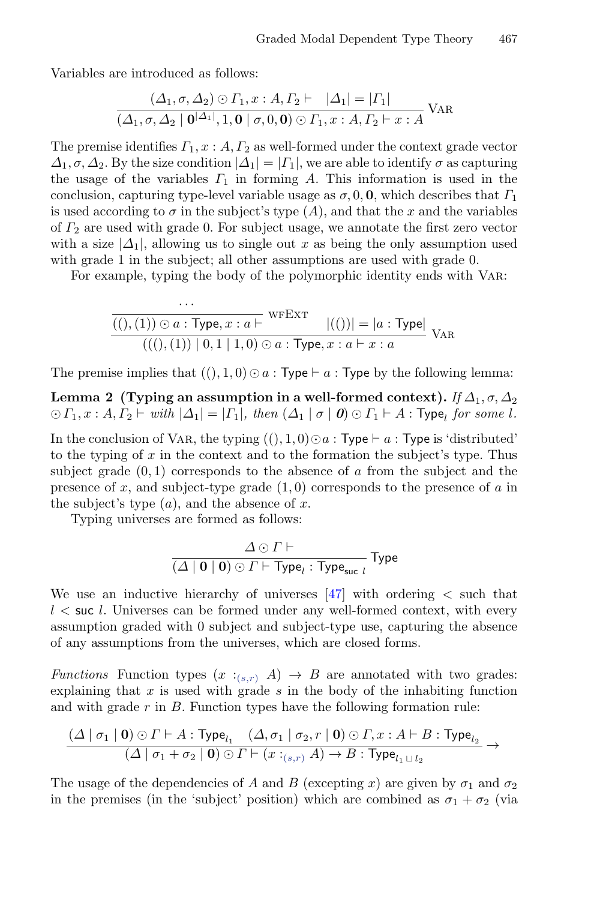Variables are introduced as follows:

$$
\frac{(\Delta_1, \sigma, \Delta_2) \odot \Gamma_1, x:A, \Gamma_2 \vdash |\Delta_1| = |\Gamma_1|}{(\Delta_1, \sigma, \Delta_2 \mid \mathbf{0}^{|\Delta_1|}, 1, \mathbf{0} \mid \sigma, 0, \mathbf{0}) \odot \Gamma_1, x:A, \Gamma_2 \vdash x:A} \text{VAR}
$$

The premise identifies  $\Gamma_1, x : A, \Gamma_2$  as well-formed under the context grade vector  $\Delta_1, \sigma, \Delta_2$ . By the size condition  $|\Delta_1| = |\Gamma_1|$ , we are able to identify  $\sigma$  as capturing the usage of the variables  $\Gamma_1$  in forming A. This information is used in the conclusion, capturing type-level variable usage as  $\sigma$ , 0, **0**, which describes that  $\Gamma_1$ is used according to  $\sigma$  in the subject's type  $(A)$ , and that the x and the variables of  $\Gamma_2$  are used with grade 0. For subject usage, we annotate the first zero vector with a size  $|\Delta_1|$ , allowing us to single out x as being the only assumption used with grade 1 in the subject; all other assumptions are used with grade 0.

For example, typing the body of the polymorphic identity ends with Var:

$$
\frac{\overline{(()}, (1)) \odot a : \text{Type}, x : a \vdash}{((), (1)) | 0, 1 | 1, 0} \odot a : \text{Type}, x : a \vdash x : a} |(())| = |a : \text{Type}|
$$
  
(
$$
((), (1)) | 0, 1 | 1, 0) \odot a : \text{Type}, x : a \vdash x : a
$$

The premise implies that  $((), 1, 0) \odot a$ : Type  $\vdash a$ : Type by the following lemma:

**Lemma 2** (Typing an assumption in a well-formed context). If  $\Delta_1$ ,  $\sigma$ ,  $\Delta_2$  $\bigcirc I_1, x : A, I_2 \vdash with \, | \Delta_1 | = |I_1|, \, then \, (\Delta_1 | \sigma | \mathbf{0}) \bigcirc I_1 \vdash A : \mathsf{Type}_l \, \textit{for some} \, l.$ 

In the conclusion of VAR, the typing  $((), 1, 0) \odot a$  : Type  $\vdash a$  : Type is 'distributed' to the typing of  $x$  in the context and to the formation the subject's type. Thus subject grade  $(0, 1)$  corresponds to the absence of a from the subject and the presence of x, and subject-type grade  $(1,0)$  corresponds to the presence of a in the subject's type  $(a)$ , and the absence of x.

Typing universes are formed as follows:

···

$$
\frac{\Delta \odot \Gamma \vdash}{(\Delta \mid \mathbf{0} \mid \mathbf{0}) \odot \Gamma \vdash \mathsf{Type}_l : \mathsf{Type}_{\mathsf{suc}\;l}}\mathsf{Type}
$$

We use an inductive hierarchy of universes  $\left[47\right]$  with ordering  $\leq$  such that  $l \leq$  suc l. Universes can be formed under any well-formed context, with every assumption graded with 0 subject and subject-type use, capturing the absence of any assumptions from the universes, which are closed forms.

Functions Function types  $(x :_{(s,r)} A) \rightarrow B$  are annotated with two grades: explaining that  $x$  is used with grade  $s$  in the body of the inhabiting function and with grade  $r$  in  $B$ . Function types have the following formation rule:

$$
\frac{(\Delta \mid \sigma_1 \mid \mathbf{0}) \odot \Gamma \vdash A : \text{Type}_{l_1} \quad (\Delta, \sigma_1 \mid \sigma_2, r \mid \mathbf{0}) \odot \Gamma, x : A \vdash B : \text{Type}_{l_2} \rightarrow (\Delta \mid \sigma_1 + \sigma_2 \mid \mathbf{0}) \odot \Gamma \vdash (x :_{(s,r)} A) \rightarrow B : \text{Type}_{l_1 \sqcup l_2} \rightarrow (\Delta \mid \sigma_1 + \sigma_2 \mid \mathbf{0}) \odot \Gamma \vdash (x :_{(s,r)} A) \rightarrow B : \text{Type}_{l_1 \sqcup l_2}
$$

The usage of the dependencies of A and B (excepting x) are given by  $\sigma_1$  and  $\sigma_2$ in the premises (in the 'subject' position) which are combined as  $\sigma_1 + \sigma_2$  (via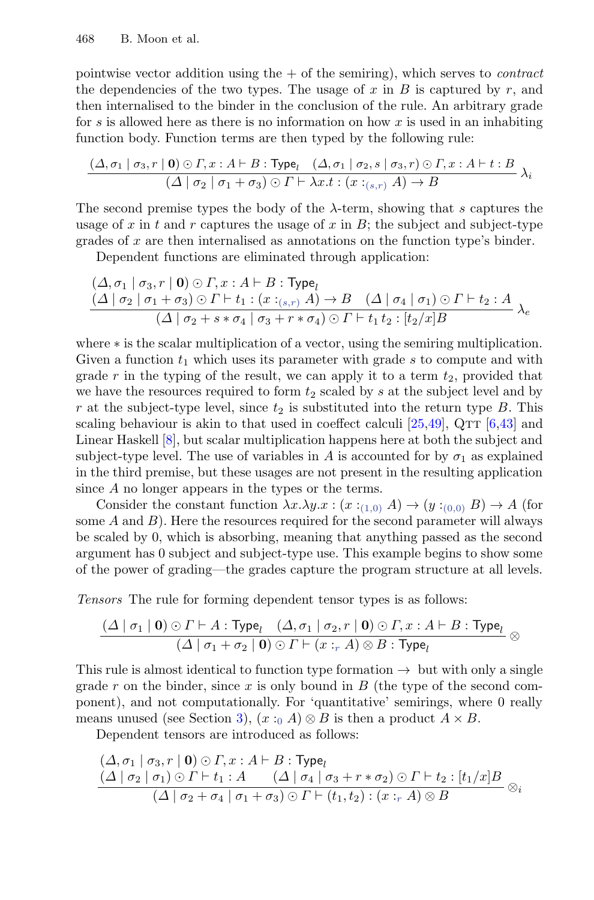pointwise vector addition using the  $+$  of the semiring), which serves to *contract* the dependencies of the two types. The usage of  $x$  in  $B$  is captured by  $r$ , and then internalised to the binder in the conclusion of the rule. An arbitrary grade for s is allowed here as there is no information on how x is used in an inhabiting function body. Function terms are then typed by the following rule:

$$
\frac{(\Delta,\sigma_1 \mid \sigma_3,r \mid \mathbf{0}) \odot \Gamma,x:A\vdash B:\mathsf{Type}_{l} \quad (\Delta,\sigma_1 \mid \sigma_2,s \mid \sigma_3,r) \odot \Gamma,x:A\vdash t:B}{(\Delta \mid \sigma_2 \mid \sigma_1+\sigma_3) \odot \Gamma \vdash \lambda x.t:(x:_{(s,r)} A) \rightarrow B} \lambda_i
$$

The second premise types the body of the  $\lambda$ -term, showing that s captures the usage of x in t and r captures the usage of x in  $B$ ; the subject and subject-type grades of  $x$  are then internalised as annotations on the function type's binder.

Dependent functions are eliminated through application:

$$
\frac{(\Delta, \sigma_1 \mid \sigma_3, r \mid \mathbf{0}) \odot \Gamma, x:A \vdash B : \text{Type}_l}{(\Delta \mid \sigma_2 \mid \sigma_1 + \sigma_3) \odot \Gamma \vdash t_1 : (x :_{(s,r)} A) \rightarrow B \quad (\Delta \mid \sigma_4 \mid \sigma_1) \odot \Gamma \vdash t_2 : A}{(\Delta \mid \sigma_2 + s * \sigma_4 \mid \sigma_3 + r * \sigma_4) \odot \Gamma \vdash t_1 t_2 : [t_2/x]B} \lambda_e
$$

where ∗ is the scalar multiplication of a vector, using the semiring multiplication. Given a function  $t_1$  which uses its parameter with grade s to compute and with grade r in the typing of the result, we can apply it to a term  $t_2$ , provided that we have the resources required to form  $t_2$  scaled by s at the subject level and by r at the subject-type level, since  $t_2$  is substituted into the return type B. This scaling behaviour is akin to that used in coeffect calculi  $[25,49]$  $[25,49]$ , QTT  $[6,43]$  $[6,43]$  and Linear Haskell [\[8\]](#page-25-4), but scalar multiplication happens here at both the subject and subject-type level. The use of variables in A is accounted for by  $\sigma_1$  as explained in the third premise, but these usages are not present in the resulting application since A no longer appears in the types or the terms.

Consider the constant function  $\lambda x.\lambda y.x : (x:_{(1,0)} A) \to (y:_{(0,0)} B) \to A$  (for some  $A$  and  $B$ ). Here the resources required for the second parameter will always be scaled by 0, which is absorbing, meaning that anything passed as the second argument has 0 subject and subject-type use. This example begins to show some of the power of grading—the grades capture the program structure at all levels.

Tensors The rule for forming dependent tensor types is as follows:

$$
\frac{(\Delta \mid \sigma_1 \mid \mathbf{0}) \odot \Gamma \vdash A : \text{Type}_l \quad (\Delta, \sigma_1 \mid \sigma_2, r \mid \mathbf{0}) \odot \Gamma, x : A \vdash B : \text{Type}_l}{(\Delta \mid \sigma_1 + \sigma_2 \mid \mathbf{0}) \odot \Gamma \vdash (x :_r A) \otimes B : \text{Type}_l} \otimes
$$

This rule is almost identical to function type formation  $\rightarrow$  but with only a single grade r on the binder, since x is only bound in  $B$  (the type of the second component), and not computationally. For 'quantitative' semirings, where 0 really means unused (see Section [3\)](#page-9-0),  $(x :_0 A) \otimes B$  is then a product  $A \times B$ .

Dependent tensors are introduced as follows:

$$
\frac{(\Delta, \sigma_1 | \sigma_3, r | \mathbf{0}) \odot \Gamma, x : A \vdash B : \text{Type}_l}{(\Delta | \sigma_2 | \sigma_1) \odot \Gamma \vdash t_1 : A \qquad (\Delta | \sigma_4 | \sigma_3 + r * \sigma_2) \odot \Gamma \vdash t_2 : [t_1/x]B}{(\Delta | \sigma_2 + \sigma_4 | \sigma_1 + \sigma_3) \odot \Gamma \vdash (t_1, t_2) : (x : r A) \otimes B} \otimes_i
$$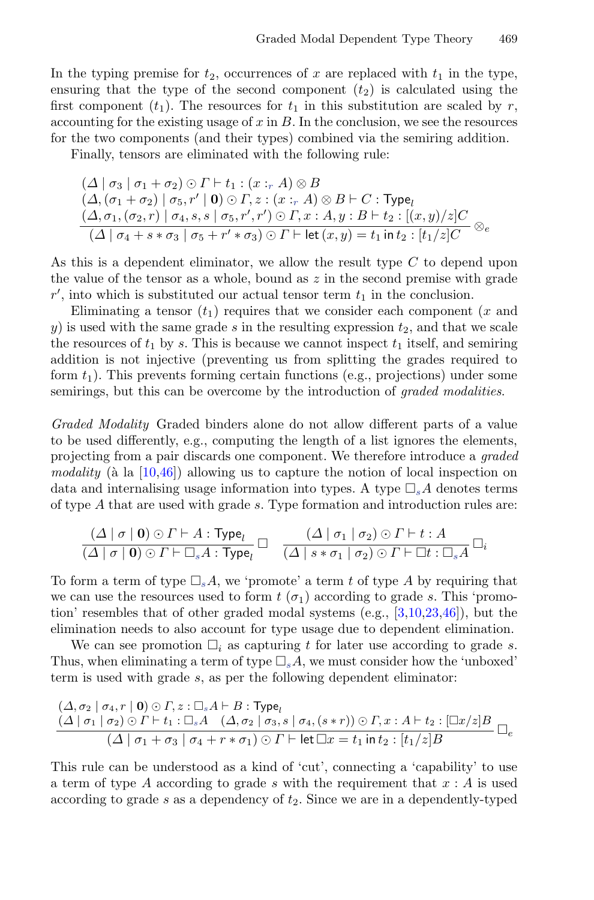In the typing premise for  $t_2$ , occurrences of x are replaced with  $t_1$  in the type, ensuring that the type of the second component  $(t_2)$  is calculated using the first component  $(t_1)$ . The resources for  $t_1$  in this substitution are scaled by r, accounting for the existing usage of  $x$  in  $B$ . In the conclusion, we see the resources for the two components (and their types) combined via the semiring addition.

Finally, tensors are eliminated with the following rule:

$$
(\Delta \mid \sigma_3 \mid \sigma_1 + \sigma_2) \odot \Gamma \vdash t_1 : (x :_r A) \otimes B
$$
  
\n
$$
(\Delta, (\sigma_1 + \sigma_2) \mid \sigma_5, r' \mid \mathbf{0}) \odot \Gamma, z : (x :_r A) \otimes B \vdash C : \mathsf{Type}_l
$$
  
\n
$$
(\Delta, \sigma_1, (\sigma_2, r) \mid \sigma_4, s, s \mid \sigma_5, r', r') \odot \Gamma, x : A, y : B \vdash t_2 : [(x, y)/z]C
$$
  
\n
$$
(\Delta \mid \sigma_4 + s * \sigma_3 \mid \sigma_5 + r' * \sigma_3) \odot \Gamma \vdash \mathsf{let}(x, y) = t_1 \mathsf{in} \ t_2 : [t_1/z]C \otimes e
$$

As this is a dependent eliminator, we allow the result type C to depend upon the value of the tensor as a whole, bound as  $z$  in the second premise with grade  $r'$ , into which is substituted our actual tensor term  $t_1$  in the conclusion.

Eliminating a tensor  $(t_1)$  requires that we consider each component (x and y) is used with the same grade s in the resulting expression  $t_2$ , and that we scale the resources of  $t_1$  by s. This is because we cannot inspect  $t_1$  itself, and semiring addition is not injective (preventing us from splitting the grades required to form  $t_1$ ). This prevents forming certain functions (e.g., projections) under some semirings, but this can be overcome by the introduction of *graded modalities*.

Graded Modality Graded binders alone do not allow different parts of a value to be used differently, e.g., computing the length of a list ignores the elements, projecting from a pair discards one component. We therefore introduce a graded modality ( $\hat{a}$  la [\[10](#page-25-10)[,46\]](#page-27-5)) allowing us to capture the notion of local inspection on data and internalising usage information into types. A type  $\Box_s A$  denotes terms of type A that are used with grade s. Type formation and introduction rules are:

$$
\frac{(\Delta \mid \sigma \mid \mathbf{0}) \odot \Gamma \vdash A : \text{Type}_l}{(\Delta \mid \sigma \mid \mathbf{0}) \odot \Gamma \vdash \Box_s A : \text{Type}_l} \square \quad \frac{(\Delta \mid \sigma_1 \mid \sigma_2) \odot \Gamma \vdash t : A}{(\Delta \mid s * \sigma_1 \mid \sigma_2) \odot \Gamma \vdash \Box t : \Box_s A} \square_i
$$

To form a term of type  $\Box_s A$ , we 'promote' a term t of type A by requiring that we can use the resources used to form  $t(\sigma_1)$  according to grade s. This 'promotion' resembles that of other graded modal systems (e.g., [\[3,](#page-25-9)[10,](#page-25-10)[23,](#page-26-3)[46\]](#page-27-5)), but the elimination needs to also account for type usage due to dependent elimination.

We can see promotion  $\Box_i$  as capturing t for later use according to grade s. Thus, when eliminating a term of type  $\Box_s A$ , we must consider how the 'unboxed' term is used with grade s, as per the following dependent eliminator:

$$
\frac{(\Delta, \sigma_2 \mid \sigma_4, r \mid \mathbf{0}) \odot \Gamma, z : \Box_s A \vdash B : \text{Type}_l}{(\Delta \mid \sigma_1 \mid \sigma_2) \odot \Gamma \vdash t_1 : \Box_s A \quad (\Delta, \sigma_2 \mid \sigma_3, s \mid \sigma_4, (s * r)) \odot \Gamma, x : A \vdash t_2 : [\Box x/z]B} \Box_{\mathcal{C}}}{(\Delta \mid \sigma_1 + \sigma_3 \mid \sigma_4 + r * \sigma_1) \odot \Gamma \vdash \text{let } \Box x = t_1 \text{ in } t_2 : [t_1/z]B} \Box_{\mathcal{C}}
$$

This rule can be understood as a kind of 'cut', connecting a 'capability' to use a term of type A according to grade s with the requirement that  $x : A$  is used according to grade s as a dependency of  $t_2$ . Since we are in a dependently-typed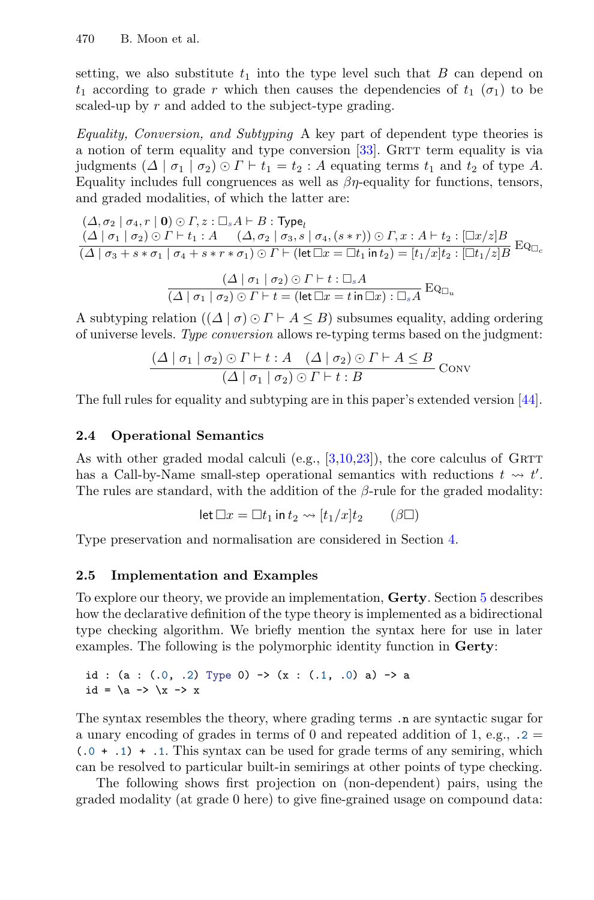setting, we also substitute  $t_1$  into the type level such that  $B$  can depend on  $t_1$  according to grade r which then causes the dependencies of  $t_1$  ( $\sigma_1$ ) to be scaled-up by r and added to the subject-type grading.

Equality, Conversion, and Subtyping A key part of dependent type theories is a notion of term equality and type conversion  $[33]$ . GRTT term equality is via judgments  $(\Delta \mid \sigma_1 \mid \sigma_2) \odot \Gamma \vdash t_1 = t_2 : A$  equating terms  $t_1$  and  $t_2$  of type A. Equality includes full congruences as well as  $\beta\eta$ -equality for functions, tensors, and graded modalities, of which the latter are:

$$
(\Delta, \sigma_2 \mid \sigma_4, r \mid \mathbf{0}) \odot \Gamma, z : \Box_s A \vdash B : \mathsf{Type}_l
$$
  
\n
$$
(\Delta \mid \sigma_1 \mid \sigma_2) \odot \Gamma \vdash t_1 : A \quad (\Delta, \sigma_2 \mid \sigma_3, s \mid \sigma_4, (s * r)) \odot \Gamma, x : A \vdash t_2 : [\Box x / z]B
$$
  
\n
$$
(\Delta \mid \sigma_3 + s * \sigma_1 \mid \sigma_4 + s * r * \sigma_1) \odot \Gamma \vdash (\mathsf{let } \Box x = \Box t_1 \mathsf{ in } t_2) = [t_1 / x]t_2 : [\Box t_1 / z]B
$$
  
\n
$$
(\Delta \mid \sigma_1 \mid \sigma_2) \odot \Gamma \vdash t : \Box_s A
$$
  
\n
$$
(\Delta \mid \sigma_1 \mid \sigma_2) \odot \Gamma \vdash t = (\mathsf{let } \Box x = t \mathsf{ in } \Box x) : \Box_s A
$$
  
\n
$$
\mathsf{Eq}_{\Box_u}
$$

A subtyping relation  $((\Delta | \sigma) \odot \Gamma \vdash A \leq B)$  subsumes equality, adding ordering of universe levels. Type conversion allows re-typing terms based on the judgment:

$$
\frac{(\Delta \mid \sigma_1 \mid \sigma_2) \odot \Gamma \vdash t : A \quad (\Delta \mid \sigma_2) \odot \Gamma \vdash A \leq B}{(\Delta \mid \sigma_1 \mid \sigma_2) \odot \Gamma \vdash t : B} \text{Conv}
$$

The full rules for equality and subtyping are in this paper's extended version [\[44\]](#page-27-10).

# **2.4 Operational Semantics**

As with other graded modal calculi (e.g.,  $[3,10,23]$  $[3,10,23]$  $[3,10,23]$ ), the core calculus of GRTT has a Call-by-Name small-step operational semantics with reductions  $t \rightsquigarrow t'$ . The rules are standard, with the addition of the  $\beta$ -rule for the graded modality:

$$
\det \Box x = \Box t_1 \text{ in } t_2 \leadsto [t_1/x]t_2 \qquad (\beta \Box)
$$

Type preservation and normalisation are considered in Section [4.](#page-15-0)

## <span id="page-8-0"></span>**2.5 Implementation and Examples**

To explore our theory, we provide an implementation, **Gerty**. Section [5](#page-20-0) describes how the declarative definition of the type theory is implemented as a bidirectional type checking algorithm. We briefly mention the syntax here for use in later examples. The following is the polymorphic identity function in **Gerty**:

id : (a :  $(0, 0, 2)$  Type 0) ->  $(x : (0, 0, 0)$  a) -> a id =  $\a -\> \x -\> x$ 

The syntax resembles the theory, where grading terms .n are syntactic sugar for a unary encoding of grades in terms of 0 and repeated addition of 1, e.g.,  $\ldots$  2 =  $(.0 + .1) + .1$ . This syntax can be used for grade terms of any semiring, which can be resolved to particular built-in semirings at other points of type checking.

The following shows first projection on (non-dependent) pairs, using the graded modality (at grade 0 here) to give fine-grained usage on compound data: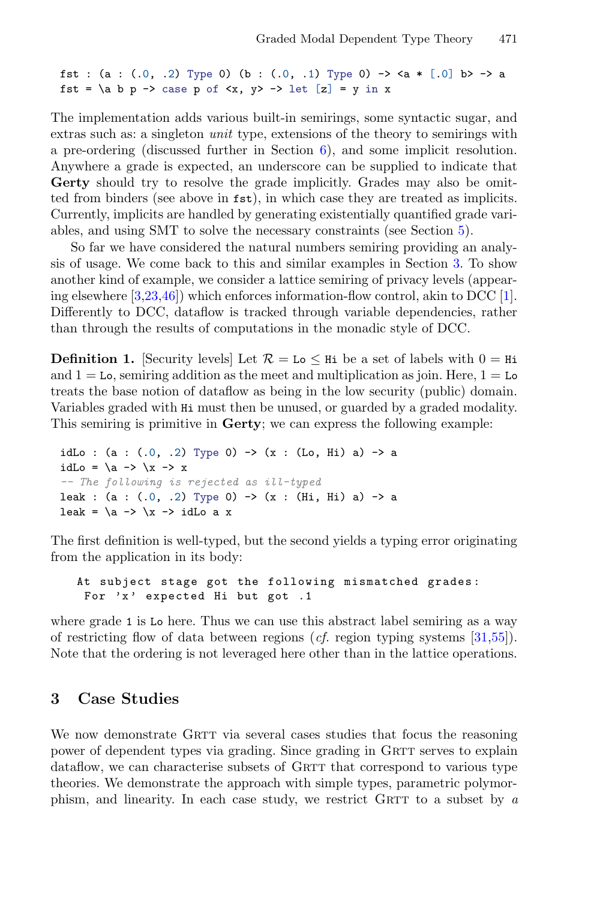fst : (a :  $(.0, .2)$  Type 0) (b :  $(.0, .1)$  Type 0) -> <a \*  $[.0]$  b> -> a fst = \a b p -> case p of  $\langle x, y \rangle$  -> let  $[z]$  = y in x

The implementation adds various built-in semirings, some syntactic sugar, and extras such as: a singleton unit type, extensions of the theory to semirings with a pre-ordering (discussed further in Section  $6$ ), and some implicit resolution. Anywhere a grade is expected, an underscore can be supplied to indicate that **Gerty** should try to resolve the grade implicitly. Grades may also be omitted from binders (see above in fst), in which case they are treated as implicits. Currently, implicits are handled by generating existentially quantified grade variables, and using SMT to solve the necessary constraints (see Section [5\)](#page-20-0).

So far we have considered the natural numbers semiring providing an analysis of usage. We come back to this and similar examples in Section [3.](#page-9-0) To show another kind of example, we consider a lattice semiring of privacy levels (appearing elsewhere [\[3](#page-25-9)[,23,](#page-26-3)[46\]](#page-27-5)) which enforces information-flow control, akin to DCC [\[1\]](#page-25-11). Differently to DCC, dataflow is tracked through variable dependencies, rather than through the results of computations in the monadic style of DCC.

**Definition 1.** Security levels Let  $\mathcal{R} = L_0 \leq H$  is be a set of labels with  $0 = H$  is and  $1 =$  Lo, semiring addition as the meet and multiplication as join. Here,  $1 =$  Lo treats the base notion of dataflow as being in the low security (public) domain. Variables graded with Hi must then be unused, or guarded by a graded modality. This semiring is primitive in **Gerty**; we can express the following example:

idLo :  $(a : (.0, .2)$  Type 0) ->  $(x : (Lo, Hi) a)$  -> a idLo =  $\a -\b$   $\x -\b$  x -- The following is rejected as ill-typed leak : (a : (.0, .2) Type 0) -> (x : (Hi, Hi) a) -> a leak =  $\a -\> \x -\> id$ Lo a x

The first definition is well-typed, but the second yields a typing error originating from the application in its body:

```
At subject stage got the following mismatched grades:
 For 'x' expected Hi but got .1
```
where grade 1 is Lo here. Thus we can use this abstract label semiring as a way of restricting flow of data between regions (*cf.* region typing systems  $[31,55]$  $[31,55]$ ). Note that the ordering is not leveraged here other than in the lattice operations.

# <span id="page-9-0"></span>**3 Case Studies**

We now demonstrate GRTT via several cases studies that focus the reasoning power of dependent types via grading. Since grading in GRTT serves to explain dataflow, we can characterise subsets of GRTT that correspond to various type theories. We demonstrate the approach with simple types, parametric polymorphism, and linearity. In each case study, we restrict GRTT to a subset by  $a$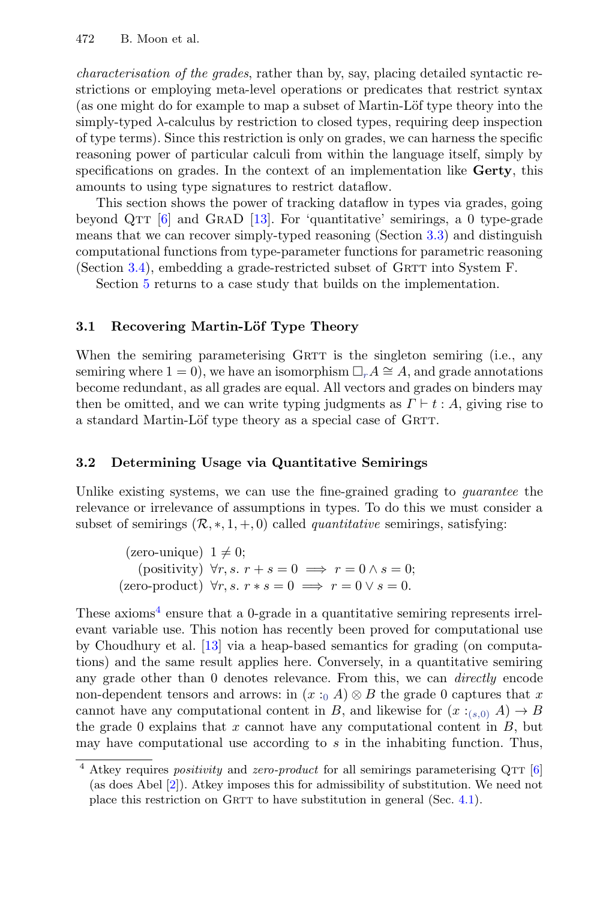characterisation of the grades, rather than by, say, placing detailed syntactic restrictions or employing meta-level operations or predicates that restrict syntax (as one might do for example to map a subset of Martin-Löf type theory into the simply-typed λ-calculus by restriction to closed types, requiring deep inspection of type terms). Since this restriction is only on grades, we can harness the specific reasoning power of particular calculi from within the language itself, simply by specifications on grades. In the context of an implementation like **Gerty**, this amounts to using type signatures to restrict dataflow.

This section shows the power of tracking dataflow in types via grades, going beyond QTT  $[6]$  and GRAD  $[13]$ . For 'quantitative' semirings, a 0 type-grade means that we can recover simply-typed reasoning (Section [3.3\)](#page-11-0) and distinguish computational functions from type-parameter functions for parametric reasoning (Section [3.4\)](#page-12-0), embedding a grade-restricted subset of GRTT into System  $F$ .

Section [5](#page-21-0) returns to a case study that builds on the implementation.

## **3.1 Recovering Martin-Löf Type Theory**

When the semiring parameterising GRTT is the singleton semiring (i.e., any semiring where  $1 = 0$ , we have an isomorphism  $\Box_r A \cong A$ , and grade annotations become redundant, as all grades are equal. All vectors and grades on binders may then be omitted, and we can write typing judgments as  $\Gamma \vdash t : A$ , giving rise to a standard Martin-Löf type theory as a special case of GRTT.

## **3.2 Determining Usage via Quantitative Semirings**

Unlike existing systems, we can use the fine-grained grading to *guarantee* the relevance or irrelevance of assumptions in types. To do this we must consider a subset of semirings  $(\mathcal{R},*,1,+,0)$  called *quantitative* semirings, satisfying:

(zero-unique) 
$$
1 \neq 0
$$
;  
\n(positivity)  $\forall r, s. r + s = 0 \implies r = 0 \land s = 0$ ;  
\n(zero-product)  $\forall r, s. r * s = 0 \implies r = 0 \lor s = 0$ .

These axioms<sup>[4](#page-10-0)</sup> ensure that a 0-grade in a quantitative semiring represents irrelevant variable use. This notion has recently been proved for computational use by Choudhury et al. [\[13\]](#page-25-12) via a heap-based semantics for grading (on computations) and the same result applies here. Conversely, in a quantitative semiring any grade other than 0 denotes relevance. From this, we can directly encode non-dependent tensors and arrows: in  $(x :_0 A) \otimes B$  the grade 0 captures that x cannot have any computational content in B, and likewise for  $(x :_{(s,0)} A) \to B$ the grade  $0$  explains that  $x$  cannot have any computational content in  $B$ , but may have computational use according to  $s$  in the inhabiting function. Thus,

<span id="page-10-0"></span> $4$  Atkey requires *positivity* and *zero-product* for all semirings parameterising QTT  $[6]$ (as does Abel [\[2\]](#page-25-8)). Atkey imposes this for admissibility of substitution. We need not place this restriction on GRTT to have substitution in general (Sec.  $4.1$ ).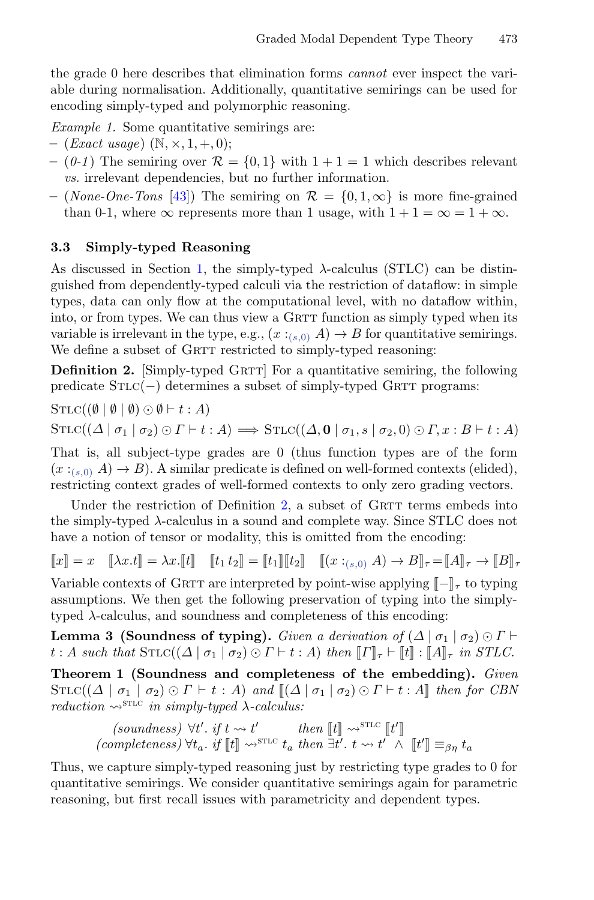the grade 0 here describes that elimination forms cannot ever inspect the variable during normalisation. Additionally, quantitative semirings can be used for encoding simply-typed and polymorphic reasoning.

Example 1. Some quantitative semirings are:

- $-$  (*Exact usage*) (N,  $\times$ , 1, +, 0);
- $-$  (0-1) The semiring over  $\mathcal{R} = \{0, 1\}$  with  $1 + 1 = 1$  which describes relevant vs. irrelevant dependencies, but no further information.
- **–** (None-One-Tons [\[43\]](#page-27-8)) The semiring on R = {0, 1, ∞} is more fine-grained than 0-1, where  $\infty$  represents more than 1 usage, with  $1 + 1 = \infty = 1 + \infty$ .

#### <span id="page-11-0"></span>**3.3 Simply-typed Reasoning**

As discussed in Section [1,](#page-0-0) the simply-typed  $\lambda$ -calculus (STLC) can be distinguished from dependently-typed calculi via the restriction of dataflow: in simple types, data can only flow at the computational level, with no dataflow within, into, or from types. We can thus view a GRTT function as simply typed when its variable is irrelevant in the type, e.g.,  $(x :_{(s,0)} A) \rightarrow B$  for quantitative semirings. We define a subset of GRTT restricted to simply-typed reasoning:

<span id="page-11-1"></span>**Definition 2.** [Simply-typed GRTT] For a quantitative semiring, the following predicate  $STLC(-)$  determines a subset of simply-typed GRTT programs:

$$
STLC((\emptyset \mid \emptyset \mid \emptyset) \odot \emptyset \vdash t : A)
$$
  

$$
STLC((\Delta \mid \sigma_1 \mid \sigma_2) \odot \Gamma \vdash t : A) \Longrightarrow STLC((\Delta, \mathbf{0} \mid \sigma_1, s \mid \sigma_2, 0) \odot \Gamma, x : B \vdash t : A)
$$

That is, all subject-type grades are 0 (thus function types are of the form  $(x:_{(s,0)} A) \rightarrow B$ ). A similar predicate is defined on well-formed contexts (elided), restricting context grades of well-formed contexts to only zero grading vectors.

Under the restriction of Definition [2,](#page-11-1) a subset of  $GRTT$  terms embeds into the simply-typed λ-calculus in a sound and complete way. Since STLC does not have a notion of tensor or modality, this is omitted from the encoding:

$$
\llbracket x \rrbracket = x \quad \llbracket \lambda x. t \rrbracket = \lambda x. \llbracket t \rrbracket \quad \llbracket t_1 \, t_2 \rrbracket = \llbracket t_1 \rrbracket \llbracket t_2 \rrbracket \quad \llbracket (x :_{(s,0)} A) \to B \rrbracket_{\tau} = \llbracket A \rrbracket_{\tau} \to \llbracket B \rrbracket_{\tau}
$$

Variable contexts of GRTT are interpreted by point-wise applying  $\llbracket - \rrbracket_{\tau}$  to typing assumptions. We then get the following prosecution of typing into the simply assumptions. We then get the following preservation of typing into the simplytyped  $\lambda$ -calculus, and soundness and completeness of this encoding:

**Lemma 3 (Soundness of typing).** Given a derivation of  $(\Delta | \sigma_1 | \sigma_2) \odot \Gamma$  $t : A \text{ such that } \text{STLC}((\Delta \mid \sigma_1 \mid \sigma_2) \odot \Gamma \vdash t : A) \text{ then } [\![\Gamma]\!]_{\tau} \vdash [\![t]\!] : [\![A]\!]_{\tau} \text{ in } STLC.$ 

**Theorem 1 (Soundness and completeness of the embedding).** Given  $\text{STLC}((\Delta \mid \sigma_1 \mid \sigma_2) \odot \Gamma \vdash t : A)$  and  $[(\Delta \mid \sigma_1 \mid \sigma_2) \odot \Gamma \vdash t : A]$  then for CBN reduction  $\rightsquigarrow^{\text{STLC}}$  in simply-typed  $\lambda$ -calculus:

$$
\begin{array}{ccc}\n\text{(soundness)} & \forall t'.\text{ if }t \leadsto t' & \text{ then } \llbracket t \rrbracket \leadsto^{\text{STLC}} \llbracket t' \rrbracket \\
\text{(completeness)} & \forall t_a. \text{ if } \llbracket t \rrbracket \leadsto^{\text{STLC}} t_a \text{ then } \exists t'. \text{ } t \leadsto t' \ \land \ \llbracket t' \rrbracket \equiv_{\beta\eta} t_a\n\end{array}
$$

Thus, we capture simply-typed reasoning just by restricting type grades to 0 for quantitative semirings. We consider quantitative semirings again for parametric reasoning, but first recall issues with parametricity and dependent types.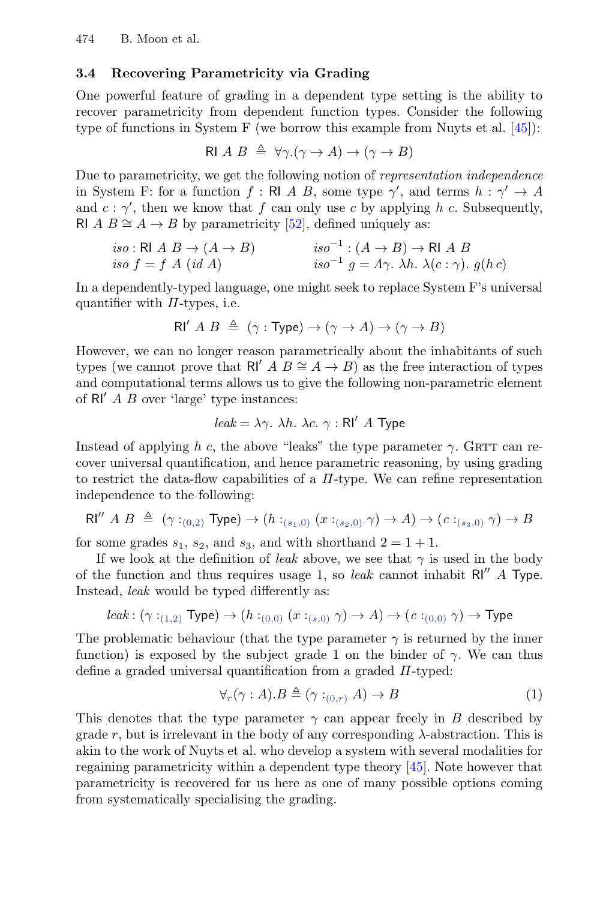## <span id="page-12-0"></span>**3.4 Recovering Parametricity via Grading**

One powerful feature of grading in a dependent type setting is the ability to recover parametricity from dependent function types. Consider the following type of functions in System F (we borrow this example from Nuyts et al. [\[45\]](#page-27-3)):

$$
\text{RIA } B \triangleq \forall \gamma. (\gamma \to A) \to (\gamma \to B)
$$

Due to parametricity, we get the following notion of representation independence in System F: for a function  $f : \mathsf{RI } A B$ , some type  $\gamma'$ , and terms  $h : \gamma' \to A$ and  $c : \gamma'$ , then we know that f can only use c by applying h c. Subsequently, RI  $A B \cong A \rightarrow B$  by parametricity [\[52\]](#page-28-0), defined uniquely as:

$$
iso: \text{RI } A \ B \to (A \to B) \qquad iso^{-1}: (A \to B) \to \text{RI } A \ B
$$
  
\n
$$
iso \ f = f \ A \ (id \ A) \qquad iso^{-1} \ g = A \gamma. \ \lambda h. \ \lambda(c : \gamma). \ g(h \ c)
$$

In a dependently-typed language, one might seek to replace System F's universal quantifier with  $\Pi$ -types, i.e.

$$
\mathsf{RI}'\ A\ B\ \triangleq\ (\gamma:\mathsf{Type})\to (\gamma\to A)\to (\gamma\to B)
$$

However, we can no longer reason parametrically about the inhabitants of such types (we cannot prove that RI' A  $B \cong A \to B$ ) as the free interaction of types and computational terms allows us to give the following non-parametric element of  $\mathsf{R} \mathsf{I}'$  A B over 'large' type instances:

$$
leak = \lambda \gamma
$$
.  $\lambda h$ .  $\lambda c$ .  $\gamma$ :  $\text{RI}' A Type$ 

Instead of applying h c, the above "leaks" the type parameter  $\gamma$ . GRTT can recover universal quantification, and hence parametric reasoning, by using grading to restrict the data-flow capabilities of a  $\Pi$ -type. We can refine representation independence to the following:

$$
\text{RI}^{\prime\prime} \ A \ B \ \triangleq \ (\gamma:_{(0,2)} \text{Type}) \rightarrow (h:_{(s_1,0)} (x:_{(s_2,0)} \gamma) \rightarrow A) \rightarrow (c:_{(s_3,0)} \gamma) \rightarrow B
$$

for some grades  $s_1$ ,  $s_2$ , and  $s_3$ , and with shorthand  $2 = 1 + 1$ .

If we look at the definition of *leak* above, we see that  $\gamma$  is used in the body of the function and thus requires usage 1, so *leak* cannot inhabit  $RI'' A Type$ . Instead, leak would be typed differently as:

$$
leak: (\gamma:_{(1,2)} \mathrm{Type}) \rightarrow (h:_{(0,0)} (x:_{(s,0)} \gamma) \rightarrow A) \rightarrow (c:_{(0,0)} \gamma) \rightarrow \mathrm{Type}
$$

The problematic behaviour (that the type parameter  $\gamma$  is returned by the inner function) is exposed by the subject grade 1 on the binder of  $\gamma$ . We can thus define a graded universal quantification from a graded  $\Pi$ -typed:

<span id="page-12-1"></span>
$$
\forall_r (\gamma : A). B \triangleq (\gamma :_{(0,r)} A) \to B \tag{1}
$$

This denotes that the type parameter  $\gamma$  can appear freely in B described by grade r, but is irrelevant in the body of any corresponding  $\lambda$ -abstraction. This is akin to the work of Nuyts et al. who develop a system with several modalities for regaining parametricity within a dependent type theory [\[45\]](#page-27-3). Note however that parametricity is recovered for us here as one of many possible options coming from systematically specialising the grading.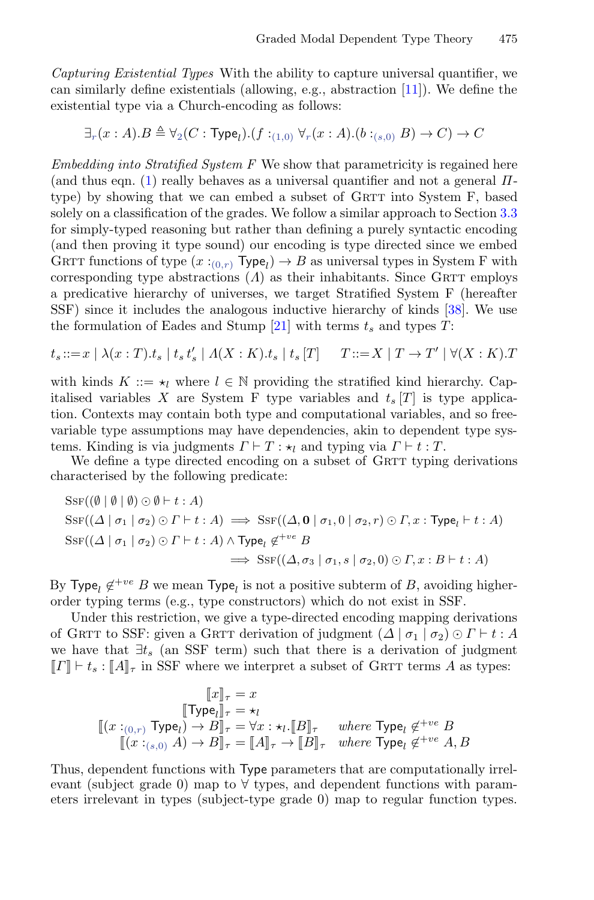Capturing Existential Types With the ability to capture universal quantifier, we can similarly define existentials (allowing, e.g., abstraction [\[11\]](#page-25-13)). We define the existential type via a Church-encoding as follows:

$$
\exists_r(x:A).B \triangleq \forall_2(C: \mathsf{Type}_l). (f:_{(1,0)} \forall_r(x:A). (b:_{(s,0)} B) \to C) \to C
$$

 $Embedding$  into Stratified System  $F$  We show that parametricity is regained here (and thus eqn. [\(1\)](#page-12-1) really behaves as a universal quantifier and not a general  $\Pi$ type) by showing that we can embed a subset of GRTT into System F, based solely on a classification of the grades. We follow a similar approach to Section [3.3](#page-11-0) for simply-typed reasoning but rather than defining a purely syntactic encoding (and then proving it type sound) our encoding is type directed since we embed GRTT functions of type  $(x:(0,r)$  Type<sub>l</sub> $) \rightarrow B$  as universal types in System F with corresponding type abstractions  $(A)$  as their inhabitants. Since GRTT employs a predicative hierarchy of universes, we target Stratified System F (hereafter SSF) since it includes the analogous inductive hierarchy of kinds [\[38\]](#page-27-13). We use the formulation of Eades and Stump [\[21\]](#page-26-6) with terms  $t_s$  and types T:

$$
t_s ::= x \mid \lambda(x:T).t_s \mid t_s t'_s \mid \Lambda(X:K).t_s \mid t_s[T] \qquad T ::= X \mid T \to T' \mid \forall (X:K).T
$$

with kinds  $K ::= \star_l$  where  $l \in \mathbb{N}$  providing the stratified kind hierarchy. Capitalised variables X are System F type variables and  $t_s$  [T] is type application. Contexts may contain both type and computational variables, and so freevariable type assumptions may have dependencies, akin to dependent type systems. Kinding is via judgments  $\Gamma \vdash T : \star_l$  and typing via  $\Gamma \vdash t : T$ .

We define a type directed encoding on a subset of GRTT typing derivations characterised by the following predicate:

$$
Ssr((\emptyset | \emptyset | \emptyset) \odot \emptyset + t : A)
$$
  
\n
$$
Ssr((\Delta | \sigma_1 | \sigma_2) \odot \Gamma + t : A) \implies Ssr((\Delta, \mathbf{0} | \sigma_1, 0 | \sigma_2, r) \odot \Gamma, x : \mathbf{Type}_l + t : A)
$$
  
\n
$$
Ssr((\Delta | \sigma_1 | \sigma_2) \odot \Gamma + t : A) \land \mathbf{Type}_l \notin^{+ve} B
$$
  
\n
$$
\implies Ssr((\Delta, \sigma_3 | \sigma_1, s | \sigma_2, 0) \odot \Gamma, x : B \vdash t : A)
$$

By Type<sub>l</sub>  $\notin^{+ve}$  B we mean Type<sub>l</sub> is not a positive subterm of B, avoiding higherorder typing terms (e.g., type constructors) which do not exist in SSF.

Under this restriction, we give a type-directed encoding mapping derivations of GRTT to SSF: given a GRTT derivation of judgment  $(\Delta | \sigma_1 | \sigma_2) \odot \Gamma \vdash t : A$ we have that  $\exists t_s$  (an SSF term) such that there is a derivation of judgment  $\llbracket I \rrbracket + t_s : \llbracket A \rrbracket_{\tau}$  in SSF where we interpret a subset of GRTT terms A as types:

$$
\begin{array}{c} [\![x]\!]_\tau = x \\ \qquad \qquad [\![\mathrm{Type}_l]\!]_\tau = \star_l \\ \qquad \qquad [\![(x:_{(0,r)}\ \mathrm{Type}_l) \to B]\!]_\tau = \forall x: \star_l. [\![B]\!]_\tau \quad \textit{where } \mathrm{Type}_l \not\in^{+ve} B \\ \qquad \qquad [\![(x:_{(s,0)}\ A) \to B]\!]_\tau = [\![A]\!]_\tau \to [\![B]\!]_\tau \quad \textit{where } \mathrm{Type}_l \not\in^{+ve} A, B \end{array}
$$

Thus, dependent functions with Type parameters that are computationally irrelevant (subject grade 0) map to  $\forall$  types, and dependent functions with parameters irrelevant in types (subject-type grade 0) map to regular function types.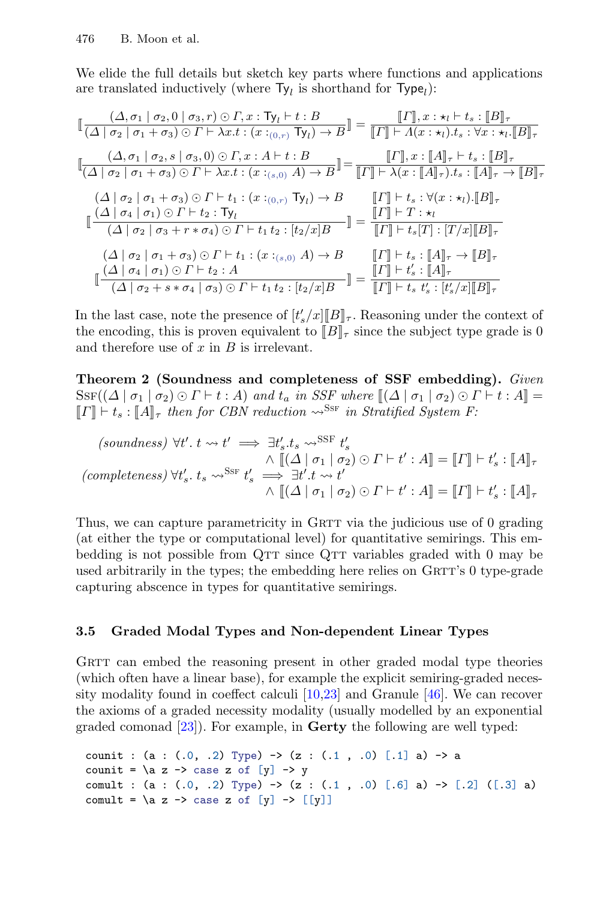We elide the full details but sketch key parts where functions and applications are translated inductively (where  $Ty_l$  is shorthand for  $Type_l$ ):

$$
\begin{aligned}\n&\left[\frac{(\Delta,\sigma_{1}\mid\sigma_{2},0\mid\sigma_{3},r)\odot\Gamma,x:\textsf{Ty}_{l}\mid t:B}{(\Delta\mid\sigma_{2}\mid\sigma_{1}+\sigma_{3})\odot\Gamma\vdash\lambda x.t:(x:(\sigma_{\cdot(\sigma,r)}\textsf{Ty}_{l})\rightarrow B}\right] = \frac{\llbracket\Gamma\rrbracket,x:\star_{l}\vdash t.s:\llbracket B\rrbracket_{\tau}}{\llbracket\Gamma\rrbracket\vdash\Lambda(x:\star_{l}).t_{s}:\forall x:\star_{l}\llbracket B\rrbracket_{\tau}} \\
&\left[\frac{(\Delta,\sigma_{1}\mid\sigma_{2},s\mid\sigma_{3},0)\odot\Gamma,x:A\vdash t:B}{(\Delta\mid\sigma_{2}\mid\sigma_{1}+\sigma_{3})\odot\Gamma\vdash\lambda x.t:(x:(\sigma_{\cdot(s,0)}\textsf{A})\rightarrow B}\right] = \frac{\llbracket\Gamma\rrbracket,x:\llbracket A\rrbracket_{\tau}\vdash t_{s}:\llbracket B\rrbracket_{\tau}}{\llbracket\Gamma\rrbracket\vdash\lambda(x:\llbracket A\rrbracket_{\tau}).t_{s}:\llbracket A\rrbracket_{\tau}\rightarrow \llbracket B\rrbracket_{\tau}} \\
&\left(\frac{(\Delta\mid\sigma_{2}\mid\sigma_{1}+\sigma_{3})\odot\Gamma\vdash t_{1}:(x:(\sigma_{\cdot(s,0)}\textsf{Ty}_{l})\rightarrow B)}{\llbracket\Gamma\rrbracket\vdash t_{s}:\forall (x:\star_{l}).\llbracket B\rrbracket_{\tau}}\right] \\
&\left[\frac{(\Delta\mid\sigma_{4}\mid\sigma_{1})\odot\Gamma\vdash t_{2}:\textsf{Ty}_{l}}{(\Delta\mid\sigma_{2}\mid\sigma_{3}+r*\sigma_{4})\odot\Gamma\vdash t_{1}:(x:(\sigma_{\cdot(s,0)}\textsf{A})\rightarrow B)}\right] = \frac{\llbracket\Gamma\rrbracket\vdash t_{s}:\forall (x:\star_{l}).\llbracket B\rrbracket_{\tau}}{\llbracket\Gamma\rrbracket\vdash t_{s}:\llbracket A\rrbracket_{\tau}\rightarrow \llbracket B\rrbracket_{\tau}} \\
&\left[\frac{(\Delta\mid\sigma_{4}\mid\sigma_{1})\odot\Gamma\vdash t_{2}:\textsf{A}}{(\Delta\mid\sigma_{4}\mid\sigma_{1})\odot\Gamma\vdash t_{2}:\textsf
$$

In the last case, note the presence of  $[t'_s/x][B]_\tau$ . Reasoning under the context of the operator this is proven equivalent to  $[[B]]$  since the subject type grade is 0. the encoding, this is proven equivalent to  $[\![B]\!]_{\tau}$  since the subject type grade is 0<br>and therefore use of x in B is irrelevant. and therefore use of  $x$  in  $B$  is irrelevant.

**Theorem 2 (Soundness and completeness of SSF embedding).** Given  $S$ SF $((\Delta | \sigma_1 | \sigma_2) \odot \Gamma \vdash t : A)$  and  $t_a$  in SSF where  $[(\Delta | \sigma_1 | \sigma_2) \odot \Gamma \vdash t : A] =$ <br>  $\mathbb{E} \Gamma \mathbb{E} \vdash t \cdot \mathbb{E} A$  then for CBN reduction  $\infty$ <sup>SSF</sup> in Stratified Suctom F.  $[[\![\Gamma]\!] \vdash t_s : [[A]]_{\tau}$  then for CBN reduction  $\leadsto^{\text{SSF}}$  in Stratified System F:

$$
\begin{aligned}\n\text{(soundness)} \ \forall t'. \ t \rightsquigarrow t' &\implies \exists t'_s. t_s \leadsto^{\text{SSF}} t'_s \\
\wedge \ \llbracket (\Delta \mid \sigma_1 \mid \sigma_2) \odot \Gamma \vdash t' : A \rrbracket = \llbracket \Gamma \rrbracket \vdash t'_s : \llbracket A \rrbracket_\tau \\
\text{(completeness)} \ \forall t'_s. \ t_s \leadsto^{\text{SSF}} t'_s &\implies \exists t'. t \leadsto t' \\
\wedge \ \llbracket (\Delta \mid \sigma_1 \mid \sigma_2) \odot \Gamma \vdash t' : A \rrbracket = \llbracket \Gamma \rrbracket \vdash t'_s : \llbracket A \rrbracket_\tau\n\end{aligned}
$$

Thus, we can capture parametricity in GRTT via the judicious use of 0 grading (at either the type or computational level) for quantitative semirings. This embedding is not possible from  $QTT$  since  $QTT$  variables graded with 0 may be used arbitrarily in the types; the embedding here relies on  $G\text{RTT's } 0$  type-grade capturing abscence in types for quantitative semirings.

## **3.5 Graded Modal Types and Non-dependent Linear Types**

GRTT can embed the reasoning present in other graded modal type theories (which often have a linear base), for example the explicit semiring-graded necessity modality found in coeffect calculi  $[10,23]$  $[10,23]$  and Granule [\[46\]](#page-27-5). We can recover the axioms of a graded necessity modality (usually modelled by an exponential graded comonad [\[23\]](#page-26-3)). For example, in **Gerty** the following are well typed:

```
counit : (a : (.0, .2) Type) \rightarrow (z : (.1, .0) [.1] a) \rightarrow a
counit = \a z -> case z of [y] -> y
comult : (a : (.0, .2) Type) -> (z : (.1, .0) [.6] a) -> [.2] ([.3] a)
comult = \a z -> case z of [y] -> [[y]]
```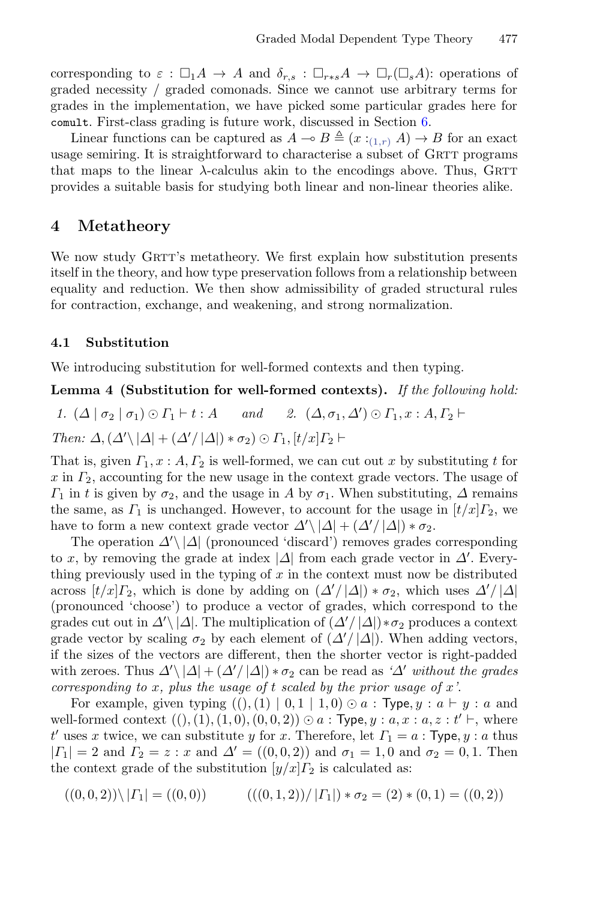corresponding to  $\varepsilon : \Box_1 A \to A$  and  $\delta_{r,s} : \Box_{r+s} A \to \Box_r (\Box_s A)$ : operations of graded necessity / graded comonads. Since we cannot use arbitrary terms for grades in the implementation, we have picked some particular grades here for comult. First-class grading is future work, discussed in Section [6.](#page-22-0)

Linear functions can be captured as  $A \to B \triangleq (x :_{(1,r)} A) \to B$  for an exact usage semiring. It is straightforward to characterise a subset of GRTT programs that maps to the linear  $\lambda$ -calculus akin to the encodings above. Thus, GRTT provides a suitable basis for studying both linear and non-linear theories alike.

## <span id="page-15-0"></span>**4 Metatheory**

We now study GRTT's metatheory. We first explain how substitution presents itself in the theory, and how type preservation follows from a relationship between equality and reduction. We then show admissibility of graded structural rules for contraction, exchange, and weakening, and strong normalization.

#### <span id="page-15-1"></span>**4.1 Substitution**

We introducing substitution for well-formed contexts and then typing.

#### **Lemma 4 (Substitution for well-formed contexts).** If the following hold:

1.  $(\Delta | \sigma_2 | \sigma_1) \odot \Gamma_1 \vdash t : A$  and 2.  $(\Delta, \sigma_1, \Delta') \odot \Gamma_1$ ,  $x : A, \Gamma_2 \vdash$ Then:  $\Delta$ ,  $(\Delta' \setminus |\Delta| + (\Delta'/|\Delta|) * \sigma_2) \odot \Gamma_1$ ,  $[t/x] \Gamma_2$   $\vdash$ 

That is, given  $\Gamma_1, x : A, \Gamma_2$  is well-formed, we can cut out x by substituting t for x in  $\Gamma_2$ , accounting for the new usage in the context grade vectors. The usage of  $\Gamma_1$  in t is given by  $\sigma_2$ , and the usage in A by  $\sigma_1$ . When substituting,  $\Delta$  remains the same, as  $\Gamma_1$  is unchanged. However, to account for the usage in  $\left[t/x\right]\Gamma_2$ , we have to form a new context grade vector  $\Delta' \setminus |\Delta| + (\Delta'/|\Delta|) * \sigma_2$ .

The operation  $\Delta' \setminus |\Delta|$  (pronounced 'discard') removes grades corresponding to x, by removing the grade at index  $|\Delta|$  from each grade vector in  $\Delta'$ . Everything previously used in the typing of  $x$  in the context must now be distributed across  $[t/x] \Gamma_2$ , which is done by adding on  $(\Delta'/|\Delta|) * \sigma_2$ , which uses  $\Delta'/|\Delta|$ (pronounced 'choose') to produce a vector of grades, which correspond to the grades cut out in  $\Delta' \setminus |\Delta|$ . The multiplication of  $(\Delta'/|\Delta|) * \sigma_2$  produces a context grade vector by scaling  $\sigma_2$  by each element of  $(\Delta'/|\Delta|)$ . When adding vectors, if the sizes of the vectors are different, then the shorter vector is right-padded with zeroes. Thus  $\Delta' \setminus |\Delta| + (\Delta'/|\Delta|) * \sigma_2$  can be read as ' $\Delta'$  without the grades corresponding to x, plus the usage of t scaled by the prior usage of  $x'$ .

For example, given typing  $((), (1) | 0, 1 | 1, 0) \odot a$ : Type,  $y : a \vdash y : a$  and well-formed context  $((), (1), (1, 0), (0, 0, 2)) \odot a$ : Type,  $y : a, x : a, z : t' \vdash$ , where  $t'$  uses x twice, we can substitute y for x. Therefore, let  $\varGamma_1 = a$ : Type,  $y : a$  thus  $| \Gamma_1 | = 2$  and  $\Gamma_2 = z : x$  and  $\Delta' = ((0, 0, 2))$  and  $\sigma_1 = 1, 0$  and  $\sigma_2 = 0, 1$ . Then the context grade of the substitution  $[y/x]_{2}$  is calculated as:

 $((0, 0, 2))\langle | \Gamma_1| = ((0, 0))$   $((0, 1, 2))/| \Gamma_1| * \sigma_2 = (2) * (0, 1) = ((0, 2))$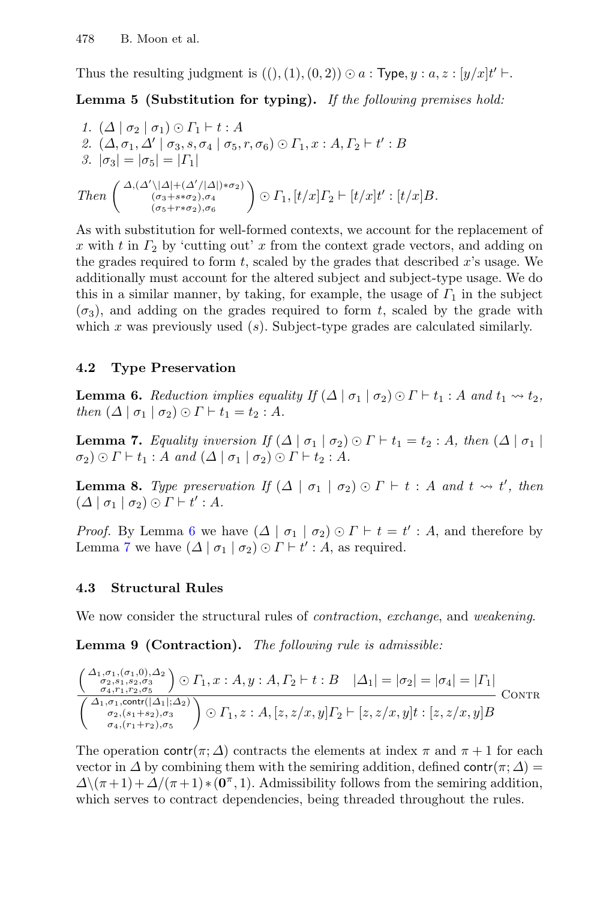Thus the resulting judgment is  $((), (1), (0, 2)) \odot a$ : Type,  $y : a, z : [y/x]t' \vdash$ .

**Lemma 5 (Substitution for typing).** If the following premises hold:

1. 
$$
(\Delta | \sigma_2 | \sigma_1) \odot \Gamma_1 \vdash t : A
$$
  
\n2.  $(\Delta, \sigma_1, \Delta' | \sigma_3, s, \sigma_4 | \sigma_5, r, \sigma_6) \odot \Gamma_1, x : A, \Gamma_2 \vdash t' : B$   
\n3.  $|\sigma_3| = |\sigma_5| = |\Gamma_1|$   
\nThen  $\begin{pmatrix} \Delta, (\Delta' \setminus |\Delta| + (\Delta'/|\Delta|) * \sigma_2) \\ (\sigma_3 + s * \sigma_2), \sigma_4 \\ (\sigma_5 + r * \sigma_2), \sigma_6 \end{pmatrix} \odot \Gamma_1, [t/x] \Gamma_2 \vdash [t/x] t' : [t/x] B$ .

As with substitution for well-formed contexts, we account for the replacement of x with t in  $\Gamma_2$  by 'cutting out' x from the context grade vectors, and adding on the grades required to form  $t$ , scaled by the grades that described  $x$ 's usage. We additionally must account for the altered subject and subject-type usage. We do this in a similar manner, by taking, for example, the usage of  $\Gamma_1$  in the subject  $(\sigma_3)$ , and adding on the grades required to form t, scaled by the grade with which x was previously used  $(s)$ . Subject-type grades are calculated similarly.

## **4.2 Type Preservation**

<span id="page-16-0"></span>**Lemma 6.** Reduction implies equality If  $(\Delta | \sigma_1 | \sigma_2) \odot \Gamma \vdash t_1 : A$  and  $t_1 \leadsto t_2$ , then  $(\Delta \mid \sigma_1 \mid \sigma_2) \odot \Gamma \vdash t_1 = t_2 : A$ .

<span id="page-16-1"></span>**Lemma 7.** Equality inversion If  $(\Delta | \sigma_1 | \sigma_2) \odot \Gamma \vdash t_1 = t_2 : A$ , then  $(\Delta | \sigma_1 |$  $\sigma_2$ )  $\odot$   $\Gamma \vdash t_1 : A$  and  $(\Delta \mid \sigma_1 \mid \sigma_2) \odot \Gamma \vdash t_2 : A$ .

**Lemma 8.** Type preservation If  $(\Delta | \sigma_1 | \sigma_2) \odot \Gamma \vdash t : A$  and  $t \leadsto t'$ , then  $(\Delta \mid \sigma_1 \mid \sigma_2) \odot \Gamma \vdash t' : A.$ 

*Proof.* By Lemma [6](#page-16-0) we have  $(\Delta \mid \sigma_1 \mid \sigma_2) \odot \Gamma \vdash t = t' : A$ , and therefore by Lemma [7](#page-16-1) we have  $(\Delta | \sigma_1 | \sigma_2) \odot \Gamma \vdash t' : A$ , as required.

## **4.3 Structural Rules**

We now consider the structural rules of *contraction*, exchange, and weakening.

**Lemma 9 (Contraction).** The following rule is admissible:

$$
\frac{\left(\begin{smallmatrix} \Delta_{1},\sigma_{1},(\sigma_{1},0),\Delta_{2} \\ \sigma_{2},\sigma_{1},\sigma_{2},\sigma_{3} \\ \sigma_{4},r_{1},r_{2},\sigma_{5} \end{smallmatrix}\right)\odot\Gamma_{1},x:A,y:A,\Gamma_{2}\vdash t:B & |\Delta_{1}|=|\sigma_{2}|=|\sigma_{4}|=|\Gamma_{1}|}{\left(\begin{smallmatrix} \Delta_{1},\sigma_{1},\text{contr}([\Delta_{1}];\Delta_{2}) \\ \sigma_{2},(s_{1}+s_{2}),\sigma_{3} \\ \sigma_{4},(r_{1}+r_{2}),\sigma_{5} \end{smallmatrix}\right)\odot\Gamma_{1},z:A,[z,z/x,y]\Gamma_{2}\vdash [z,z/x,y]t:[z,z/x,y]B} \text{CONTR}
$$

The operation contr( $\pi$ ;  $\Delta$ ) contracts the elements at index  $\pi$  and  $\pi$  + 1 for each vector in  $\Delta$  by combining them with the semiring addition, defined contr( $\pi$ ;  $\Delta$ ) =  $\Delta\$ ( $\pi$ +1) +  $\Delta/(\pi$  + 1) \* ( $\mathbf{0}^{\pi}$ , 1). Admissibility follows from the semiring addition, which serves to contract dependencies, being threaded throughout the rules.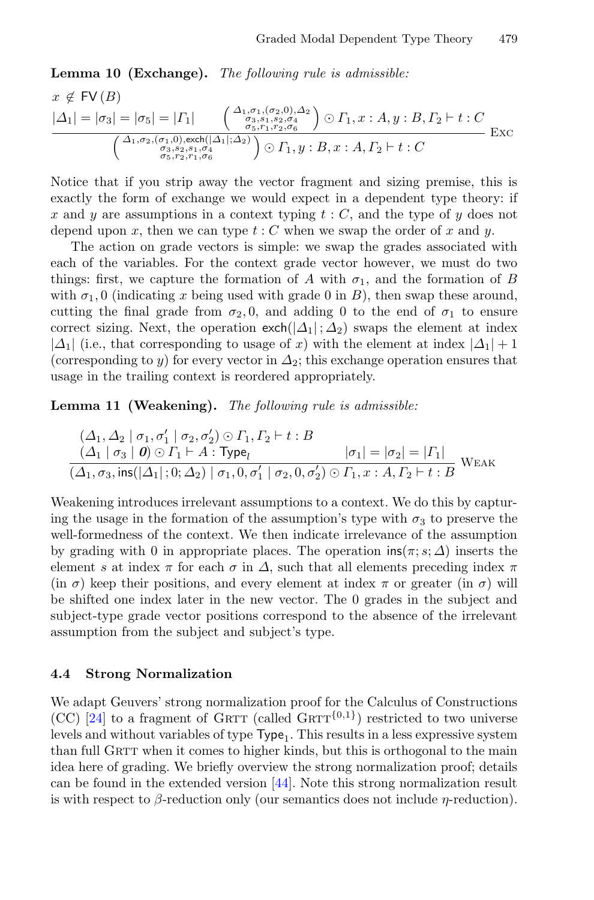**Lemma 10 (Exchange).** The following rule is admissible:

$$
x \notin \text{FV}(B)
$$
  
\n
$$
|\Delta_1| = |\sigma_3| = |\sigma_5| = |\Gamma_1| \left( \begin{array}{c} \Delta_{1, \sigma_1, (\sigma_2, 0), \Delta_2} \\ \sigma_3, s_1, s_2, \sigma_4 \\ \sigma_5, r_1, r_2, \sigma_6 \end{array} \right) \odot \Gamma_1, x : A, y : B, \Gamma_2 \vdash t : C
$$
  
\n
$$
\left( \begin{array}{c} \Delta_{1, \sigma_2, (\sigma_1, 0), \text{exch}(|\Delta_1|; \Delta_2)} \\ \sigma_3, s_2, s_1, \sigma_4 \\ \sigma_5, r_2, r_1, \sigma_6 \end{array} \right) \odot \Gamma_1, y : B, x : A, \Gamma_2 \vdash t : C
$$

Notice that if you strip away the vector fragment and sizing premise, this is exactly the form of exchange we would expect in a dependent type theory: if x and y are assumptions in a context typing  $t : C$ , and the type of y does not depend upon x, then we can type  $t : C$  when we swap the order of x and y.

The action on grade vectors is simple: we swap the grades associated with each of the variables. For the context grade vector however, we must do two things: first, we capture the formation of A with  $\sigma_1$ , and the formation of B with  $\sigma_1$ , 0 (indicating x being used with grade 0 in B), then swap these around, cutting the final grade from  $\sigma_2$ , 0, and adding 0 to the end of  $\sigma_1$  to ensure correct sizing. Next, the operation  $\text{exch}(|\Delta_1|;\Delta_2)$  swaps the element at index  $|\Delta_1|$  (i.e., that corresponding to usage of x) with the element at index  $|\Delta_1|+1$ (corresponding to y) for every vector in  $\Delta_2$ ; this exchange operation ensures that usage in the trailing context is reordered appropriately.

**Lemma 11 (Weakening).** The following rule is admissible:

$$
\frac{(\Delta_1, \Delta_2 \mid \sigma_1, \sigma_1' \mid \sigma_2, \sigma_2') \odot \Gamma_1, \Gamma_2 \vdash t : B}{(\Delta_1 \mid \sigma_3 \mid \mathbf{0}) \odot \Gamma_1 \vdash A : \text{Type}_l} \qquad |\sigma_1| = |\sigma_2| = |\Gamma_1|
$$
\n
$$
\frac{(\Delta_1, \sigma_3, \text{ins}(|\Delta_1|; 0; \Delta_2) \mid \sigma_1, 0, \sigma_1' \mid \sigma_2, 0, \sigma_2') \odot \Gamma_1, x : A, \Gamma_2 \vdash t : B} \text{WEAK}
$$

Weakening introduces irrelevant assumptions to a context. We do this by capturing the usage in the formation of the assumption's type with  $\sigma_3$  to preserve the well-formedness of the context. We then indicate irrelevance of the assumption by grading with 0 in appropriate places. The operation  $\text{ins}(\pi; s; \Delta)$  inserts the element s at index  $\pi$  for each  $\sigma$  in  $\Delta$ , such that all elements preceding index  $\pi$ (in  $\sigma$ ) keep their positions, and every element at index  $\pi$  or greater (in  $\sigma$ ) will be shifted one index later in the new vector. The 0 grades in the subject and subject-type grade vector positions correspond to the absence of the irrelevant assumption from the subject and subject's type.

#### **4.4 Strong Normalization**

We adapt Geuvers' strong normalization proof for the Calculus of Constructions (CC) [\[24\]](#page-26-7) to a fragment of GRTT (called GRTT<sup>{0,1}</sup>) restricted to two universe levels and without variables of type  $Type_1$ . This results in a less expressive system than full GRTT when it comes to higher kinds, but this is orthogonal to the main idea here of grading. We briefly overview the strong normalization proof; details can be found in the extended version [\[44\]](#page-27-10). Note this strong normalization result is with respect to  $\beta$ -reduction only (our semantics does not include  $\eta$ -reduction).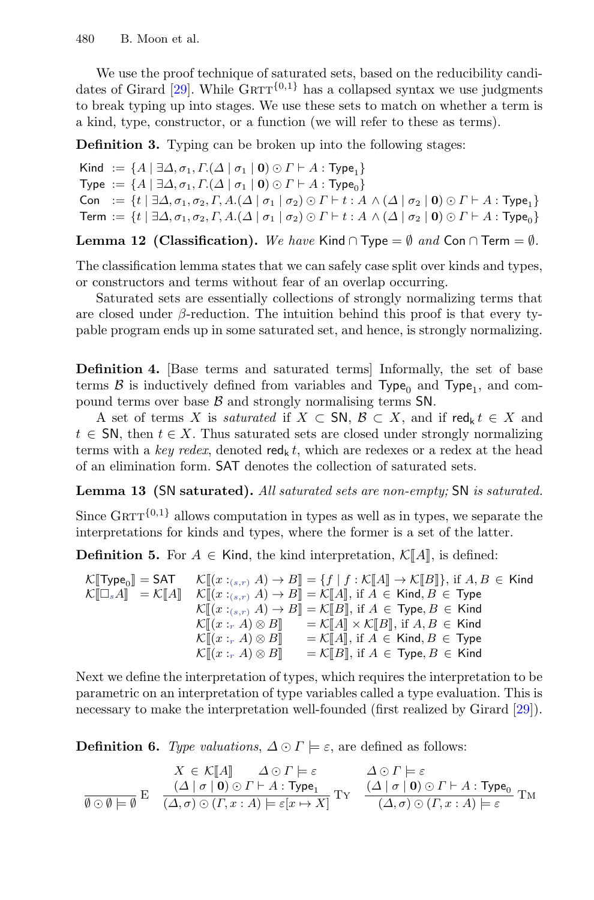We use the proof technique of saturated sets, based on the reducibility candi-dates of Girard [\[29\]](#page-26-8). While  $\text{GRTT}^{\{0,1\}}$  has a collapsed syntax we use judgments to break typing up into stages. We use these sets to match on whether a term is a kind, type, constructor, or a function (we will refer to these as terms).

**Definition 3.** Typing can be broken up into the following stages:

Kind  $:= \{A \mid \exists \Delta, \sigma_1, \Gamma(\Delta \mid \sigma_1 \mid \mathbf{0}) \odot \Gamma \vdash A : \text{Type}_1\}$ Type  $:= \{A \mid \exists \Delta, \sigma_1, \Gamma(\Delta \mid \sigma_1 \mid \mathbf{0}) \odot \Gamma \vdash A : \text{Type}_0\}$ Con :=  $\{t \mid \exists \Delta, \sigma_1, \sigma_2, \Gamma, A.(\Delta \mid \sigma_1 \mid \sigma_2) \odot \Gamma \vdash t : A \wedge (\Delta \mid \sigma_2 \mid \mathbf{0}) \odot \Gamma \vdash A : \mathsf{Type}_1\}$ Term :=  $\{t | \exists \Delta, \sigma_1, \sigma_2, \Gamma, A.(\Delta | \sigma_1 | \sigma_2) \odot \Gamma \vdash t : A \wedge (\Delta | \sigma_2 | \mathbf{0}) \odot \Gamma \vdash A : \text{Type}_0\}$ 

**Lemma 12 (Classification).** We have Kind ∩ Type =  $\emptyset$  and Con ∩ Term =  $\emptyset$ .

The classification lemma states that we can safely case split over kinds and types, or constructors and terms without fear of an overlap occurring.

Saturated sets are essentially collections of strongly normalizing terms that are closed under  $\beta$ -reduction. The intuition behind this proof is that every typable program ends up in some saturated set, and hence, is strongly normalizing.

**Definition 4.** [Base terms and saturated terms] Informally, the set of base terms  $\beta$  is inductively defined from variables and Type<sub>0</sub> and Type<sub>1</sub>, and compound terms over base  $\beta$  and strongly normalising terms SN.

A set of terms X is *saturated* if  $X \subset SN$ ,  $\mathcal{B} \subset X$ , and if red<sub>k</sub>  $t \in X$  and  $t \in \mathsf{SN}$ , then  $t \in X$ . Thus saturated sets are closed under strongly normalizing terms with a key redex, denoted red<sub>k</sub> t, which are redexes or a redex at the head of an elimination form. SAT denotes the collection of saturated sets.

**Lemma 13 (**SN **saturated).** All saturated sets are non-empty; SN is saturated.

Since  $GRTT^{\{0,1\}}$  allows computation in types as well as in types, we separate the interpretations for kinds and types, where the former is a set of the latter.

**Definition 5.** For  $A \in$  Kind, the kind interpretation,  $\mathcal{K}[[A]]$ , is defined:

 $\mathcal{K}[\![\mathsf{Type}_{0}]\!] = \mathsf{SAT} \qquad \mathcal{K}[\![x :_{(s,r)} A] \to B[\!] = \{f \mid f : \mathcal{K}[\![A]\!] \to \mathcal{K}[\![B]\!] \},$  if  $A, B \in \mathsf{Kind}$  $\mathcal{K}[\Box_s A] = \mathcal{K}[A] \quad \mathcal{K}[(x :_{(s,r)} A) \to B] = \mathcal{K}[A],$  if  $A \in \text{Kind}, B \in \text{Type}$ <br> $\mathcal{K}[(x :_{(s,r)} A) \to B] = \mathcal{K}[B]$  if  $A \in \text{Time } B \subset \text{Kind}$  $\mathcal{K}[[x:_{(s,r)} A] \to B] = \mathcal{K}[B]$ , if  $A \in \text{Type}, B \in \text{Kind}$  $\mathcal{K}[[x :_r A) \otimes B]] = \mathcal{K}[[A] \times \mathcal{K}[[B]]$ , if  $A, B \in$  Kind  $\mathcal{K}[[x :_r A] \otimes B] = \mathcal{K}[[A]],$  if  $A \in$  Kind,  $B \in$  Type<br> $\mathcal{K}[[x : A] \otimes B]] = \mathcal{K}[[B]]$  if  $A \in$  Type  $B \in$  Kind  $\mathcal{K}[\![(x :_{r} A) \otimes B]\!] \quad = \mathcal{K}[\![B]\!], \text{ if } A \in \mathsf{Type}, B \in \mathsf{Kind}$ 

Next we define the interpretation of types, which requires the interpretation to be parametric on an interpretation of type variables called a type evaluation. This is necessary to make the interpretation well-founded (first realized by Girard [\[29\]](#page-26-8)).

**Definition 6.** Type valuations,  $\Delta \odot \Gamma \models \varepsilon$ , are defined as follows:

$$
\begin{array}{cc}X\in \mathcal{K}[\![A]\!]& \Delta\odot\varGamma\models\varepsilon & \Delta\odot\varGamma\models\varepsilon\\ \hline (\Delta\mid\sigma\mid \mathbf{0})\odot\varGamma\vdash A:\mathsf{Type}_1 & (\Delta\mid\sigma\mid \mathbf{0})\odot\varGamma\vdash A:\mathsf{Type}_0\\ \hline \emptyset\odot\emptyset\models\emptyset & (\Delta,\sigma)\odot(\varGamma,x:A)\models\varepsilon[x\mapsto X] & (\Delta,\sigma)\odot(\varGamma,x:A)\models\varepsilon\end{array}\mathsf{TM} \\
$$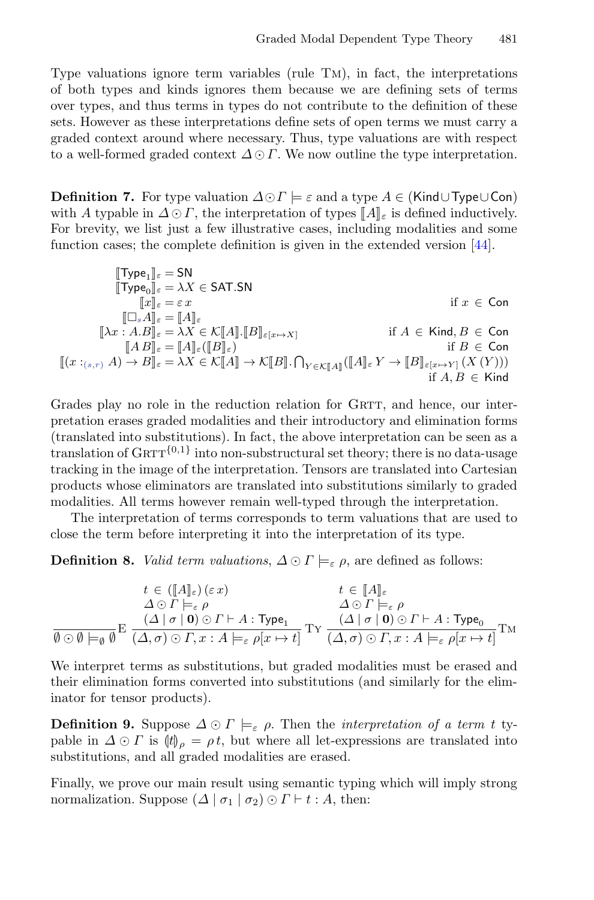Type valuations ignore term variables (rule Tm), in fact, the interpretations of both types and kinds ignores them because we are defining sets of terms over types, and thus terms in types do not contribute to the definition of these sets. However as these interpretations define sets of open terms we must carry a graded context around where necessary. Thus, type valuations are with respect to a well-formed graded context  $\Delta \odot \Gamma$ . We now outline the type interpretation.

**Definition 7.** For type valuation  $\Delta \odot \Gamma \models \varepsilon$  and a type  $A \in ($ Kind∪Type∪Con) with A typable in  $\Delta \odot \Gamma$ , the interpretation of types  $\llbracket A \rrbracket_{\varepsilon}$  is defined inductively.<br>For brevity, we list just a few illustrative cases, including modalities and some For brevity, we list just a few illustrative cases, including modalities and some function cases; the complete definition is given in the extended version [\[44\]](#page-27-10).

$$
\begin{aligned} \llbracket \text{Type}_1 \rrbracket_{\varepsilon} &= \text{SN} \\ \llbracket \text{Type}_0 \rrbracket_{\varepsilon} &= \lambda X \in \text{SAT.SN} \\ \llbracket x \rrbracket_{\varepsilon} &= \varepsilon \, x & \text{if } x \in \text{Con} \\ \llbracket \text{A}x : A. B \rrbracket_{\varepsilon} &= \llbracket A \rrbracket_{\varepsilon} \\ \llbracket \lambda x : A. B \rrbracket_{\varepsilon} &= \llbracket A \rrbracket_{\varepsilon} \\ \llbracket x \rrbracket_{\varepsilon} &= \llbracket A \rrbracket_{\varepsilon} \llbracket x \rrbracket_{\varepsilon} \\ \llbracket x \rrbracket_{\varepsilon} &= \llbracket A \rrbracket_{\varepsilon} \llbracket x \rrbracket_{\varepsilon} \\ \llbracket x \rrbracket_{\varepsilon} &= \llbracket A \rrbracket_{\varepsilon} \llbracket x \rrbracket_{\varepsilon} \\ \llbracket x :_{(s,r)} A) \to B \rrbracket_{\varepsilon} &= \lambda X \in \mathcal{K}[\![A]\!] \to \mathcal{K}[\![B]\!]. \bigcap_{Y \in \mathcal{K}[\![A]\!]} \llbracket [A] \rrbracket_{\varepsilon} Y \to \llbracket B \rrbracket_{\varepsilon[x \mapsto Y]} \left( X \left( Y \right) \right) \\ \qquad \qquad \text{if } A, B \in \text{Kind} \\ \end{aligned}
$$

Grades play no role in the reduction relation for GRTT, and hence, our interpretation erases graded modalities and their introductory and elimination forms (translated into substitutions). In fact, the above interpretation can be seen as a translation of  $GRTT^{\{0,1\}}$  into non-substructural set theory; there is no data-usage tracking in the image of the interpretation. Tensors are translated into Cartesian products whose eliminators are translated into substitutions similarly to graded modalities. All terms however remain well-typed through the interpretation.

The interpretation of terms corresponds to term valuations that are used to close the term before interpreting it into the interpretation of its type.

**Definition 8.** *Valid term valuations*,  $\Delta \odot \Gamma \models_{\varepsilon} \rho$ , are defined as follows:

$$
\begin{array}{cc} & t\in ([\![A]\!]_\varepsilon)\,(\varepsilon\,x) & t\in [\![A]\!]_\varepsilon\\ & \varDelta\odot\varGamma\models_\varepsilon\rho & \varDelta\odot\varGamma\models_\varepsilon\rho\\ & (\varDelta\mid\sigma\mid \mathbf{0})\odot\varGamma\vdash A:\mathsf{Type}_1\\ \hline\vartheta\odot\varnothing\models_\vartheta\varnothing & (\varDelta,\sigma)\odot\varGamma, x:A\models_\varepsilon\rho[x\mapsto t] \end{array} \mathsf{Ty}\,\frac{(A\mid\sigma\mid \mathbf{0})\odot\varGamma\vdash A:\mathsf{Type}_0}{(\varDelta,\sigma)\odot\varGamma, x:A\models_\varepsilon\rho[x\mapsto t]}\mathsf{TM}
$$

We interpret terms as substitutions, but graded modalities must be erased and their elimination forms converted into substitutions (and similarly for the eliminator for tensor products).

**Definition 9.** Suppose  $\Delta \odot \Gamma \models_{\varepsilon} \rho$ . Then the *interpretation of a term t* typable in  $\Delta \odot \Gamma$  is  $\langle t \rangle_{\rho} = \rho t$ , but where all let-expressions are translated into substitutions, and all graded modalities are erased.

Finally, we prove our main result using semantic typing which will imply strong normalization. Suppose  $(\Delta | \sigma_1 | \sigma_2) \odot \Gamma \vdash t : A$ , then: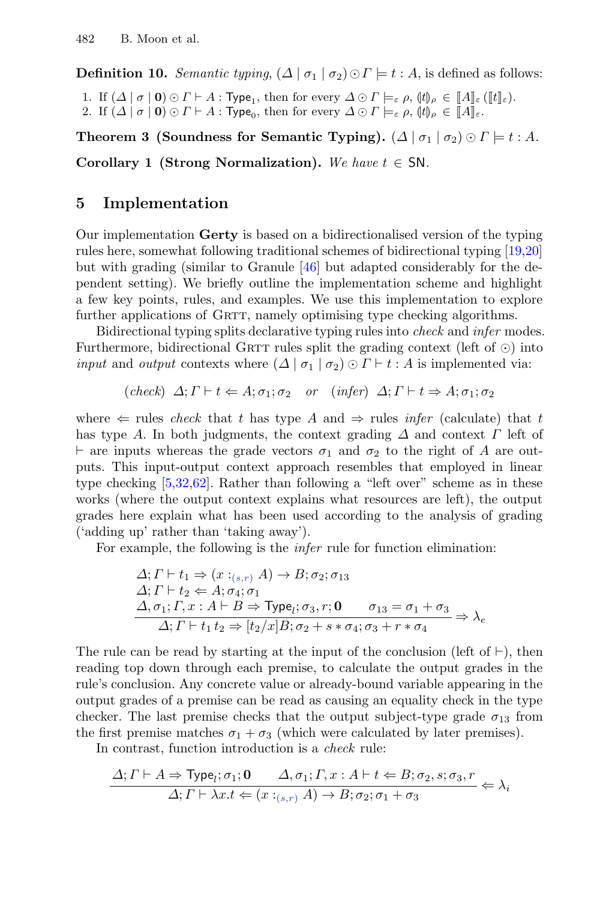**Definition 10.** Semantic typing,  $(\Delta | \sigma_1 | \sigma_2) \odot \Gamma \models t : A$ , is defined as follows:

1. If  $(\Delta | \sigma | \mathbf{0}) \odot \Gamma \vdash A$ : Type<sub>1</sub>, then for every  $\Delta \odot \Gamma \models_{\varepsilon} \rho$ ,  $(\sharp)_{\rho} \in [A]_{\varepsilon}([t]_{\varepsilon})$ . 2. If  $(\Delta \mid \sigma \mid 0) \odot \Gamma \vdash A$ : Type<sub>0</sub>, then for every  $\Delta \odot \Gamma \models_{\varepsilon} \rho$ ,  $(\sharp)_{\rho} \in [\![A]\!]_{\varepsilon}$ .

**Theorem 3 (Soundness for Semantic Typing).**  $(\Delta | \sigma_1 | \sigma_2) \odot \Gamma = t : A$ . **Corollary 1 (Strong Normalization).** We have  $t \in SN$ .

## <span id="page-20-0"></span>**5 Implementation**

Our implementation **Gerty** is based on a bidirectionalised version of the typing rules here, somewhat following traditional schemes of bidirectional typing [\[19](#page-26-9)[,20\]](#page-26-10) but with grading (similar to Granule [\[46\]](#page-27-5) but adapted considerably for the dependent setting). We briefly outline the implementation scheme and highlight a few key points, rules, and examples. We use this implementation to explore further applications of GRTT, namely optimising type checking algorithms.

Bidirectional typing splits declarative typing rules into *check* and *infer* modes. Furthermore, bidirectional GRTT rules split the grading context (left of  $\odot$ ) into *input* and *output* contexts where  $(\Delta | \sigma_1 | \sigma_2) \odot \Gamma \vdash t : A$  is implemented via:

$$
(check) \Delta; \Gamma \vdash t \Leftarrow A; \sigma_1; \sigma_2 \quad or \quad (infer) \Delta; \Gamma \vdash t \Rightarrow A; \sigma_1; \sigma_2
$$

where  $\Leftarrow$  rules check that t has type A and  $\Rightarrow$  rules infer (calculate) that t has type A. In both judgments, the context grading  $\Delta$  and context  $\Gamma$  left of  $\vdash$  are inputs whereas the grade vectors  $\sigma_1$  and  $\sigma_2$  to the right of A are outputs. This input-output context approach resembles that employed in linear type checking [\[5](#page-25-14)[,32,](#page-26-11)[62\]](#page-28-12). Rather than following a "left over" scheme as in these works (where the output context explains what resources are left), the output grades here explain what has been used according to the analysis of grading ('adding up' rather than 'taking away').

For example, the following is the infer rule for function elimination:

$$
\Delta; \Gamma \vdash t_1 \Rightarrow (x :_{(s,r)} A) \rightarrow B; \sigma_2; \sigma_1s
$$
  
\n
$$
\Delta; \Gamma \vdash t_2 \Leftarrow A; \sigma_4; \sigma_1
$$
  
\n
$$
\Delta, \sigma_1; \Gamma, x : A \vdash B \Rightarrow \text{Type}_l; \sigma_3, r; \mathbf{0} \qquad \sigma_{13} = \sigma_1 + \sigma_3
$$
  
\n
$$
\Delta; \Gamma \vdash t_1 t_2 \Rightarrow [t_2/x]B; \sigma_2 + s * \sigma_4; \sigma_3 + r * \sigma_4 \Rightarrow \lambda_e
$$

The rule can be read by starting at the input of the conclusion (left of  $\vdash$ ), then reading top down through each premise, to calculate the output grades in the rule's conclusion. Any concrete value or already-bound variable appearing in the output grades of a premise can be read as causing an equality check in the type checker. The last premise checks that the output subject-type grade  $\sigma_{13}$  from the first premise matches  $\sigma_1 + \sigma_3$  (which were calculated by later premises).

In contrast, function introduction is a check rule:

$$
\frac{\Delta; \Gamma \vdash A \Rightarrow \text{Type}_l; \sigma_1; \mathbf{0} \qquad \Delta, \sigma_1; \Gamma, x: A \vdash t \Leftarrow B; \sigma_2, s; \sigma_3, r}{\Delta; \Gamma \vdash \lambda x. t \Leftarrow (x:_{(s,r)} A) \rightarrow B; \sigma_2; \sigma_1 + \sigma_3} \Leftarrow \lambda_i
$$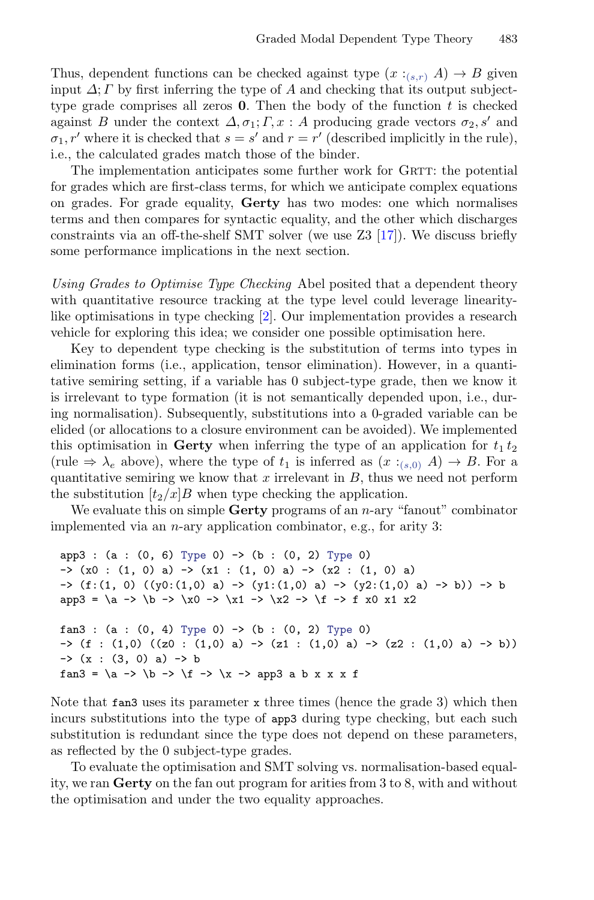Thus, dependent functions can be checked against type  $(x :_{(s,r)} A) \to B$  given input  $\Delta$ ;  $\Gamma$  by first inferring the type of A and checking that its output subjecttype grade comprises all zeros  $\mathbf{0}$ . Then the body of the function t is checked against B under the context  $\Delta, \sigma_1; \Gamma, x : A$  producing grade vectors  $\sigma_2, s'$  and  $\sigma_1$ , r' where it is checked that  $s = s'$  and  $r = r'$  (described implicitly in the rule), i.e., the calculated grades match those of the binder.

The implementation anticipates some further work for GRTT: the potential for grades which are first-class terms, for which we anticipate complex equations on grades. For grade equality, **Gerty** has two modes: one which normalises terms and then compares for syntactic equality, and the other which discharges constraints via an off-the-shelf SMT solver (we use Z3 [\[17\]](#page-26-12)). We discuss briefly some performance implications in the next section.

<span id="page-21-0"></span>Using Grades to Optimise Type Checking Abel posited that a dependent theory with quantitative resource tracking at the type level could leverage linearitylike optimisations in type checking [\[2\]](#page-25-8). Our implementation provides a research vehicle for exploring this idea; we consider one possible optimisation here.

Key to dependent type checking is the substitution of terms into types in elimination forms (i.e., application, tensor elimination). However, in a quantitative semiring setting, if a variable has 0 subject-type grade, then we know it is irrelevant to type formation (it is not semantically depended upon, i.e., during normalisation). Subsequently, substitutions into a 0-graded variable can be elided (or allocations to a closure environment can be avoided). We implemented this optimisation in **Gerty** when inferring the type of an application for  $t_1 t_2$ (rule  $\Rightarrow \lambda_e$  above), where the type of  $t_1$  is inferred as  $(x :_{(s,0)} A) \rightarrow B$ . For a quantitative semiring we know that  $x$  irrelevant in  $B$ , thus we need not perform the substitution  $[t_2/x]B$  when type checking the application.

We evaluate this on simple **Gerty** programs of an *n*-ary "fanout" combinator implemented via an n-ary application combinator, e.g., for arity 3:

```
app3: (a: (0, 6) Type 0) \rightarrow (b: (0, 2) Type 0)\rightarrow (x0 : (1, 0) a) \rightarrow (x1 : (1, 0) a) \rightarrow (x2 : (1, 0) a)
-> (f:(1, 0) ((y0:(1,0) a) -> (y1:(1,0) a) -> (y2:(1,0) a) -> b)) -> bapp3 = \a -> \b -> \x0 -> \x1 -> \x2 -> \f -> f x0 x1 x2
fan3: (a: (0, 4) Type 0) \rightarrow (b: (0, 2) Type 0)\rightarrow (f : (1,0) ((z0 : (1,0) a) \rightarrow (z1 : (1,0) a) \rightarrow (z2 : (1,0) a) \rightarrow b))
\rightarrow (x : (3, 0) a) \rightarrow b
fan3 = \a -> \b -> \f -> \x -> app3 a b x x x f
```
Note that fans uses its parameter x three times (hence the grade 3) which then incurs substitutions into the type of app3 during type checking, but each such substitution is redundant since the type does not depend on these parameters, as reflected by the 0 subject-type grades.

To evaluate the optimisation and SMT solving vs. normalisation-based equality, we ran **Gerty** on the fan out program for arities from 3 to 8, with and without the optimisation and under the two equality approaches.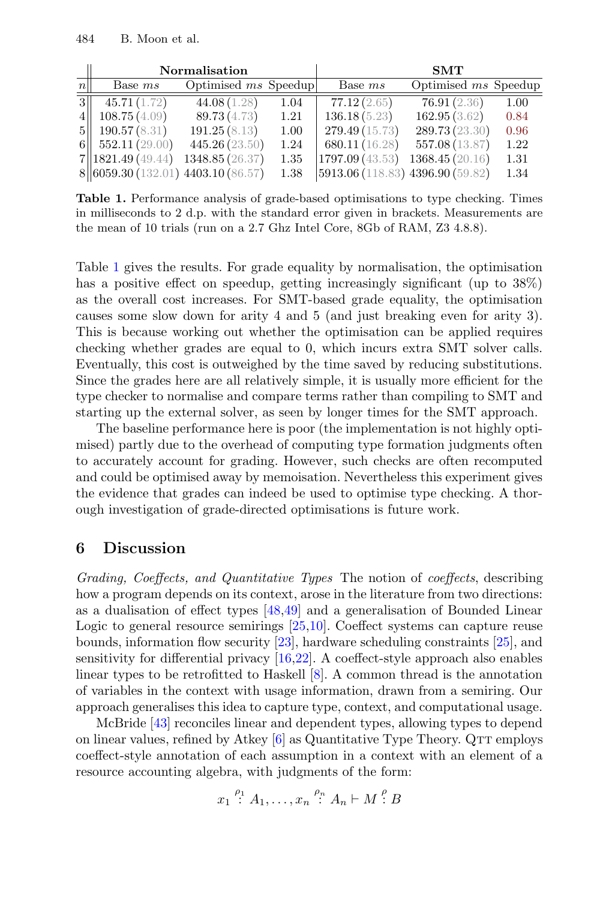|                 | Normalisation                      |                             |      | <b>SMT</b>                        |                        |      |
|-----------------|------------------------------------|-----------------------------|------|-----------------------------------|------------------------|------|
| $n\vert$        | Base ms                            | Optimised <i>ms</i> Speedup |      | Base ms                           | Optimised $ms$ Speedup |      |
| 3               | 45.71(1.72)                        | 44.08 (1.28)                | 1.04 | 77.12(2.65)                       | 76.91(2.36)            | 1.00 |
|                 | 108.75(4.09)                       | 89.73 (4.73)                | 1.21 | 136.18(5.23)                      | 162.95(3.62)           | 0.84 |
| 5 <sub>  </sub> | 190.57(8.31)                       | 191.25(8.13)                | 1.00 | 279.49(15.73)                     | 289.73 (23.30)         | 0.96 |
|                 | 6 $552.11(29.00)$                  | 445.26(23.50)               | 1.24 | 680.11(16.28)                     | 557.08 (13.87)         | 1.22 |
|                 | 7  1821.49(49.44)                  | 1348.85 (26.37)             | 1.35 | $\vert 1797.09\, (43.53) \vert$   | 1368.45(20.16)         | 1.31 |
|                 | 8 6059.30 (132.01) 4403.10 (86.57) |                             | 1.38 | [5913.06 (118.83) 4396.90 (59.82) |                        | 1.34 |

<span id="page-22-1"></span>**Table 1.** Performance analysis of grade-based optimisations to type checking. Times in milliseconds to 2 d.p. with the standard error given in brackets. Measurements are the mean of 10 trials (run on a 2.7 Ghz Intel Core, 8Gb of RAM, Z3 4.8.8).

Table [1](#page-22-1) gives the results. For grade equality by normalisation, the optimisation has a positive effect on speedup, getting increasingly significant (up to  $38\%$ ) as the overall cost increases. For SMT-based grade equality, the optimisation causes some slow down for arity 4 and 5 (and just breaking even for arity 3). This is because working out whether the optimisation can be applied requires checking whether grades are equal to 0, which incurs extra SMT solver calls. Eventually, this cost is outweighed by the time saved by reducing substitutions. Since the grades here are all relatively simple, it is usually more efficient for the type checker to normalise and compare terms rather than compiling to SMT and starting up the external solver, as seen by longer times for the SMT approach.

The baseline performance here is poor (the implementation is not highly optimised) partly due to the overhead of computing type formation judgments often to accurately account for grading. However, such checks are often recomputed and could be optimised away by memoisation. Nevertheless this experiment gives the evidence that grades can indeed be used to optimise type checking. A thorough investigation of grade-directed optimisations is future work.

## <span id="page-22-0"></span>**6 Discussion**

Grading, Coeffects, and Quantitative Types The notion of coeffects, describing how a program depends on its context, arose in the literature from two directions: as a dualisation of effect types [\[48,](#page-27-14)[49\]](#page-27-9) and a generalisation of Bounded Linear Logic to general resource semirings [\[25](#page-26-4)[,10\]](#page-25-10). Coeffect systems can capture reuse bounds, information flow security [\[23\]](#page-26-3), hardware scheduling constraints [\[25\]](#page-26-4), and sensitivity for differential privacy [\[16,](#page-26-13)[22\]](#page-26-14). A coeffect-style approach also enables linear types to be retrofitted to Haskell [\[8\]](#page-25-4). A common thread is the annotation of variables in the context with usage information, drawn from a semiring. Our approach generalises this idea to capture type, context, and computational usage.

McBride [\[43\]](#page-27-8) reconciles linear and dependent types, allowing types to depend on linear values, refined by Atkey  $[6]$  as Quantitative Type Theory. QTT employs coeffect-style annotation of each assumption in a context with an element of a resource accounting algebra, with judgments of the form:

$$
x_1 \stackrel{\rho_1}{\colon} A_1, \dots, x_n \stackrel{\rho_n}{\colon} A_n \vdash M \stackrel{\rho}{\colon} B
$$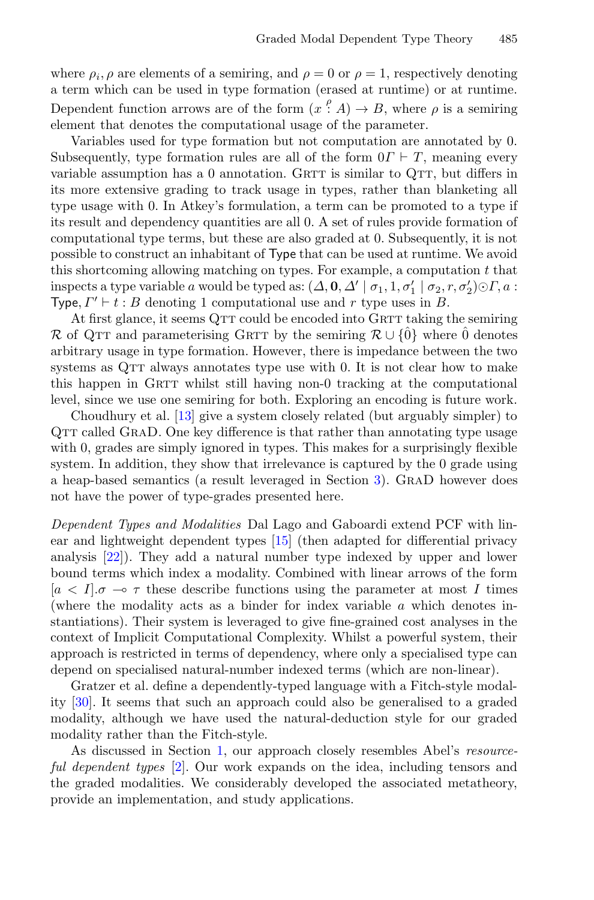where  $\rho_i$ ,  $\rho$  are elements of a semiring, and  $\rho = 0$  or  $\rho = 1$ , respectively denoting a term which can be used in type formation (erased at runtime) or at runtime. Dependent function arrows are of the form  $(x^{\rho}, A) \to B$ , where  $\rho$  is a semiring element that denotes the computational usage of the parameter.

Variables used for type formation but not computation are annotated by 0. Subsequently, type formation rules are all of the form  $0\Gamma \vdash T$ , meaning every variable assumption has a  $0$  annotation. GRTT is similar to QTT, but differs in its more extensive grading to track usage in types, rather than blanketing all type usage with 0. In Atkey's formulation, a term can be promoted to a type if its result and dependency quantities are all 0. A set of rules provide formation of computational type terms, but these are also graded at 0. Subsequently, it is not possible to construct an inhabitant of Type that can be used at runtime. We avoid this shortcoming allowing matching on types. For example, a computation  $t$  that inspects a type variable a would be typed as:  $(\Delta, \mathbf{0}, \Delta' | \sigma_1, 1, \sigma'_1 | \sigma_2, r, \sigma'_2) \odot \Gamma, a$ : Type,  $\Gamma' \vdash t : B$  denoting 1 computational use and r type uses in B.

At first glance, it seems QTT could be encoded into GRTT taking the semiring R of QTT and parameterising GRTT by the semiring  $\mathcal{R}\cup\{\hat{0}\}\$  where  $\hat{0}$  denotes arbitrary usage in type formation. However, there is impedance between the two systems as QTT always annotates type use with 0. It is not clear how to make this happen in GRTT whilst still having non-0 tracking at the computational level, since we use one semiring for both. Exploring an encoding is future work.

Choudhury et al. [\[13\]](#page-25-12) give a system closely related (but arguably simpler) to QTT called GRAD. One key difference is that rather than annotating type usage with 0, grades are simply ignored in types. This makes for a surprisingly flexible system. In addition, they show that irrelevance is captured by the 0 grade using a heap-based semantics (a result leveraged in Section [3\)](#page-9-0). GraD however does not have the power of type-grades presented here.

Dependent Types and Modalities Dal Lago and Gaboardi extend PCF with linear and lightweight dependent types [\[15\]](#page-25-6) (then adapted for differential privacy analysis [\[22\]](#page-26-14)). They add a natural number type indexed by upper and lower bound terms which index a modality. Combined with linear arrows of the form  $[a < I]$ .  $\sigma \rightarrow \tau$  these describe functions using the parameter at most I times (where the modality acts as a binder for index variable  $a$  which denotes instantiations). Their system is leveraged to give fine-grained cost analyses in the context of Implicit Computational Complexity. Whilst a powerful system, their approach is restricted in terms of dependency, where only a specialised type can depend on specialised natural-number indexed terms (which are non-linear).

Gratzer et al. define a dependently-typed language with a Fitch-style modality [\[30\]](#page-26-15). It seems that such an approach could also be generalised to a graded modality, although we have used the natural-deduction style for our graded modality rather than the Fitch-style.

As discussed in Section [1,](#page-0-0) our approach closely resembles Abel's resource-ful dependent types [\[2\]](#page-25-8). Our work expands on the idea, including tensors and the graded modalities. We considerably developed the associated metatheory, provide an implementation, and study applications.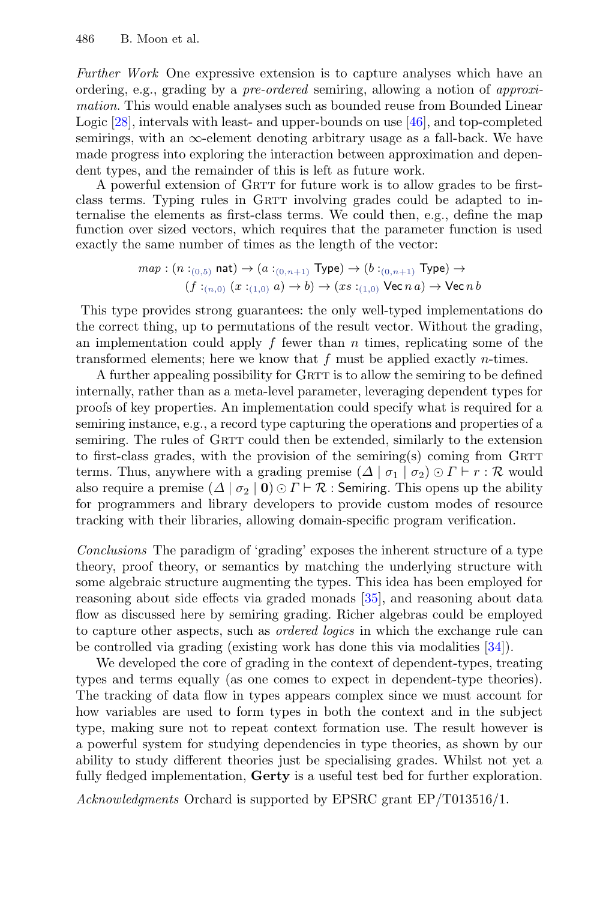Further Work One expressive extension is to capture analyses which have an ordering, e.g., grading by a pre-ordered semiring, allowing a notion of approximation. This would enable analyses such as bounded reuse from Bounded Linear Logic [\[28\]](#page-26-16), intervals with least- and upper-bounds on use [\[46\]](#page-27-5), and top-completed semirings, with an  $\infty$ -element denoting arbitrary usage as a fall-back. We have made progress into exploring the interaction between approximation and dependent types, and the remainder of this is left as future work.

A powerful extension of GRTT for future work is to allow grades to be firstclass terms. Typing rules in GRTT involving grades could be adapted to internalise the elements as first-class terms. We could then, e.g., define the map function over sized vectors, which requires that the parameter function is used exactly the same number of times as the length of the vector:

$$
\begin{array}{c} map: (n:_{(0,5)} \mathsf{nat}) \rightarrow (a:_{(0,n+1)} \mathsf{Type}) \rightarrow (b:_{(0,n+1)} \mathsf{Type}) \rightarrow \\ (f:_{(n,0)} (x:_{(1,0)} a) \rightarrow b) \rightarrow (xs:_{(1,0)} \mathsf{Vec}\, na) \rightarrow \mathsf{Vec}\, nb \end{array}
$$

This type provides strong guarantees: the only well-typed implementations do the correct thing, up to permutations of the result vector. Without the grading, an implementation could apply  $f$  fewer than  $n$  times, replicating some of the transformed elements; here we know that  $f$  must be applied exactly *n*-times.

A further appealing possibility for GRTT is to allow the semiring to be defined internally, rather than as a meta-level parameter, leveraging dependent types for proofs of key properties. An implementation could specify what is required for a semiring instance, e.g., a record type capturing the operations and properties of a semiring. The rules of GRTT could then be extended, similarly to the extension to first-class grades, with the provision of the semiring $(s)$  coming from GRTT terms. Thus, anywhere with a grading premise  $(\Delta | \sigma_1 | \sigma_2) \odot \Gamma \vdash r : \mathcal{R}$  would also require a premise  $(\Delta | \sigma_2 | \mathbf{0}) \odot \Gamma \vdash \mathcal{R}$ : Semiring. This opens up the ability for programmers and library developers to provide custom modes of resource tracking with their libraries, allowing domain-specific program verification.

Conclusions The paradigm of 'grading' exposes the inherent structure of a type theory, proof theory, or semantics by matching the underlying structure with some algebraic structure augmenting the types. This idea has been employed for reasoning about side effects via graded monads [\[35\]](#page-27-15), and reasoning about data flow as discussed here by semiring grading. Richer algebras could be employed to capture other aspects, such as ordered logics in which the exchange rule can be controlled via grading (existing work has done this via modalities [\[34\]](#page-27-16)).

We developed the core of grading in the context of dependent-types, treating types and terms equally (as one comes to expect in dependent-type theories). The tracking of data flow in types appears complex since we must account for how variables are used to form types in both the context and in the subject type, making sure not to repeat context formation use. The result however is a powerful system for studying dependencies in type theories, as shown by our ability to study different theories just be specialising grades. Whilst not yet a fully fledged implementation, **Gerty** is a useful test bed for further exploration.

Acknowledgments Orchard is supported by EPSRC grant EP/T013516/1.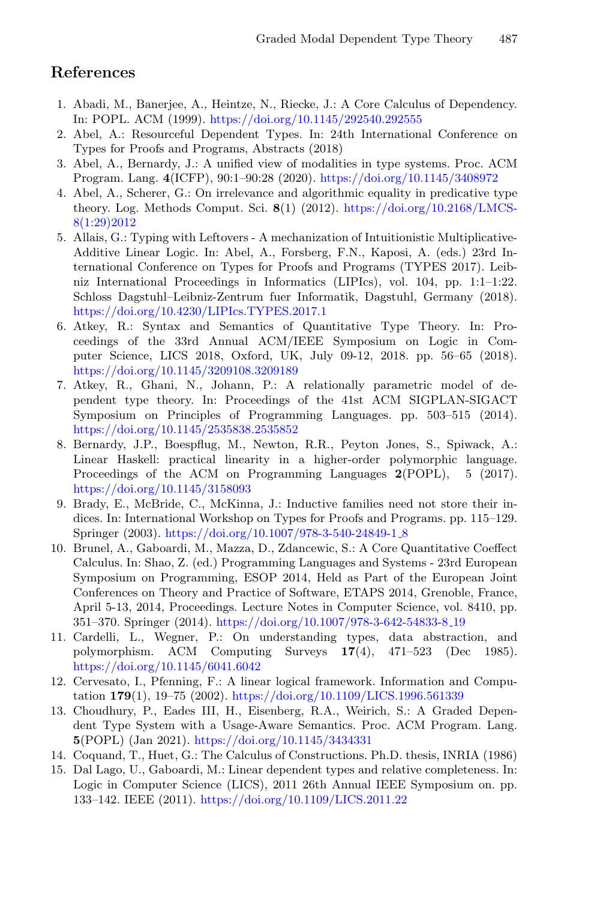# **References**

- <span id="page-25-11"></span>1. Abadi, M., Banerjee, A., Heintze, N., Riecke, J.: A Core Calculus of Dependency. In: POPL. ACM (1999). <https://doi.org/10.1145/292540.292555>
- <span id="page-25-8"></span>2. Abel, A.: Resourceful Dependent Types. In: 24th International Conference on Types for Proofs and Programs, Abstracts (2018)
- <span id="page-25-9"></span>3. Abel, A., Bernardy, J.: A unified view of modalities in type systems. Proc. ACM Program. Lang. **4**(ICFP), 90:1–90:28 (2020). <https://doi.org/10.1145/3408972>
- <span id="page-25-3"></span>4. Abel, A., Scherer, G.: On irrelevance and algorithmic equality in predicative type theory. Log. Methods Comput. Sci. **8**(1) (2012). [https://doi.org/10.2168/LMCS-](https://doi.org/10.2168/LMCS-8(1:29)2012)[8\(1:29\)2012](https://doi.org/10.2168/LMCS-8(1:29)2012)
- <span id="page-25-14"></span>5. Allais, G.: Typing with Leftovers - A mechanization of Intuitionistic Multiplicative-Additive Linear Logic. In: Abel, A., Forsberg, F.N., Kaposi, A. (eds.) 23rd International Conference on Types for Proofs and Programs (TYPES 2017). Leibniz International Proceedings in Informatics (LIPIcs), vol. 104, pp. 1:1–1:22. Schloss Dagstuhl–Leibniz-Zentrum fuer Informatik, Dagstuhl, Germany (2018). <https://doi.org/10.4230/LIPIcs.TYPES.2017.1>
- <span id="page-25-7"></span>6. Atkey, R.: Syntax and Semantics of Quantitative Type Theory. In: Proceedings of the 33rd Annual ACM/IEEE Symposium on Logic in Computer Science, LICS 2018, Oxford, UK, July 09-12, 2018. pp. 56–65 (2018). <https://doi.org/10.1145/3209108.3209189>
- <span id="page-25-1"></span>7. Atkey, R., Ghani, N., Johann, P.: A relationally parametric model of dependent type theory. In: Proceedings of the 41st ACM SIGPLAN-SIGACT Symposium on Principles of Programming Languages. pp. 503–515 (2014). <https://doi.org/10.1145/2535838.2535852>
- <span id="page-25-4"></span>8. Bernardy, J.P., Boespflug, M., Newton, R.R., Peyton Jones, S., Spiwack, A.: Linear Haskell: practical linearity in a higher-order polymorphic language. Proceedings of the ACM on Programming Languages **2**(POPL), 5 (2017). <https://doi.org/10.1145/3158093>
- <span id="page-25-2"></span>9. Brady, E., McBride, C., McKinna, J.: Inductive families need not store their indices. In: International Workshop on Types for Proofs and Programs. pp. 115–129. Springer (2003). [https://doi.org/10.1007/978-3-540-24849-1](https://doi.org/10.1007/978-3-540-24849-1_8) 8
- <span id="page-25-10"></span>10. Brunel, A., Gaboardi, M., Mazza, D., Zdancewic, S.: A Core Quantitative Coeffect Calculus. In: Shao, Z. (ed.) Programming Languages and Systems - 23rd European Symposium on Programming, ESOP 2014, Held as Part of the European Joint Conferences on Theory and Practice of Software, ETAPS 2014, Grenoble, France, April 5-13, 2014, Proceedings. Lecture Notes in Computer Science, vol. 8410, pp. 351–370. Springer (2014). [https://doi.org/10.1007/978-3-642-54833-8](https://doi.org/10.1007/978-3-642-54833-8_19) 19
- <span id="page-25-13"></span>11. Cardelli, L., Wegner, P.: On understanding types, data abstraction, and polymorphism. ACM Computing Surveys **17**(4), 471–523 (Dec 1985). <https://doi.org/10.1145/6041.6042>
- <span id="page-25-5"></span>12. Cervesato, I., Pfenning, F.: A linear logical framework. Information and Computation **179**(1), 19–75 (2002). <https://doi.org/10.1109/LICS.1996.561339>
- <span id="page-25-12"></span>13. Choudhury, P., Eades III, H., Eisenberg, R.A., Weirich, S.: A Graded Dependent Type System with a Usage-Aware Semantics. Proc. ACM Program. Lang. **5**(POPL) (Jan 2021). <https://doi.org/10.1145/3434331>
- <span id="page-25-0"></span>14. Coquand, T., Huet, G.: The Calculus of Constructions. Ph.D. thesis, INRIA (1986)
- <span id="page-25-6"></span>15. Dal Lago, U., Gaboardi, M.: Linear dependent types and relative completeness. In: Logic in Computer Science (LICS), 2011 26th Annual IEEE Symposium on. pp. 133–142. IEEE (2011). <https://doi.org/10.1109/LICS.2011.22>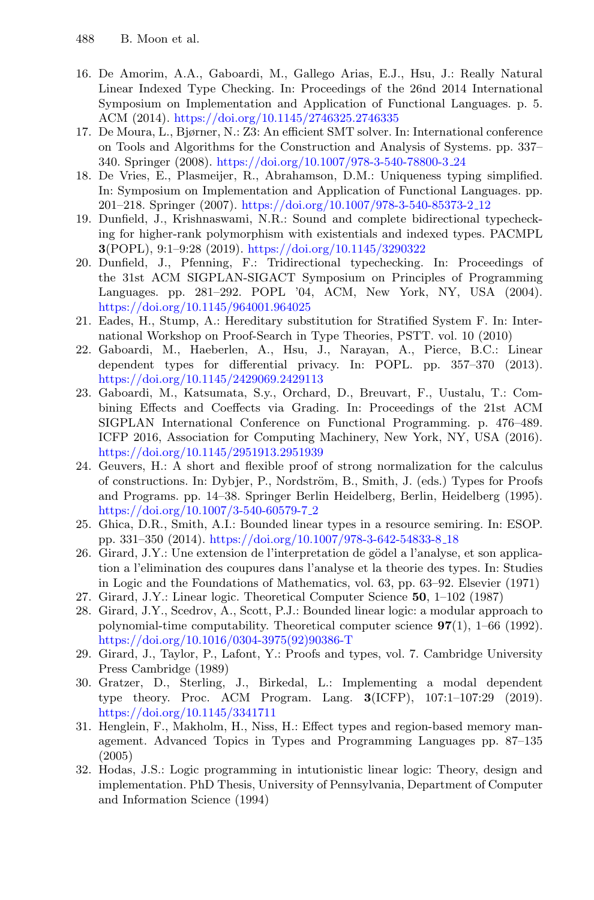- <span id="page-26-13"></span>16. De Amorim, A.A., Gaboardi, M., Gallego Arias, E.J., Hsu, J.: Really Natural Linear Indexed Type Checking. In: Proceedings of the 26nd 2014 International Symposium on Implementation and Application of Functional Languages. p. 5. ACM (2014). <https://doi.org/10.1145/2746325.2746335>
- <span id="page-26-12"></span>17. De Moura, L., Bjørner, N.: Z3: An efficient SMT solver. In: International conference on Tools and Algorithms for the Construction and Analysis of Systems. pp. 337– 340. Springer (2008). [https://doi.org/10.1007/978-3-540-78800-3](https://doi.org/10.1007/978-3-540-78800-3_24) 24
- <span id="page-26-2"></span>18. De Vries, E., Plasmeijer, R., Abrahamson, D.M.: Uniqueness typing simplified. In: Symposium on Implementation and Application of Functional Languages. pp. 201–218. Springer (2007). [https://doi.org/10.1007/978-3-540-85373-2](https://doi.org/10.1007/978-3-540-85373-2_12) 12
- <span id="page-26-9"></span>19. Dunfield, J., Krishnaswami, N.R.: Sound and complete bidirectional typechecking for higher-rank polymorphism with existentials and indexed types. PACMPL **3**(POPL), 9:1–9:28 (2019). <https://doi.org/10.1145/3290322>
- <span id="page-26-10"></span>20. Dunfield, J., Pfenning, F.: Tridirectional typechecking. In: Proceedings of the 31st ACM SIGPLAN-SIGACT Symposium on Principles of Programming Languages. pp. 281–292. POPL '04, ACM, New York, NY, USA (2004). <https://doi.org/10.1145/964001.964025>
- <span id="page-26-6"></span>21. Eades, H., Stump, A.: Hereditary substitution for Stratified System F. In: International Workshop on Proof-Search in Type Theories, PSTT. vol. 10 (2010)
- <span id="page-26-14"></span>22. Gaboardi, M., Haeberlen, A., Hsu, J., Narayan, A., Pierce, B.C.: Linear dependent types for differential privacy. In: POPL. pp. 357–370 (2013). <https://doi.org/10.1145/2429069.2429113>
- <span id="page-26-3"></span>23. Gaboardi, M., Katsumata, S.y., Orchard, D., Breuvart, F., Uustalu, T.: Combining Effects and Coeffects via Grading. In: Proceedings of the 21st ACM SIGPLAN International Conference on Functional Programming. p. 476–489. ICFP 2016, Association for Computing Machinery, New York, NY, USA (2016). <https://doi.org/10.1145/2951913.2951939>
- <span id="page-26-7"></span>24. Geuvers, H.: A short and flexible proof of strong normalization for the calculus of constructions. In: Dybjer, P., Nordström, B., Smith, J. (eds.) Types for Proofs and Programs. pp. 14–38. Springer Berlin Heidelberg, Berlin, Heidelberg (1995). [https://doi.org/10.1007/3-540-60579-7](https://doi.org/10.1007/3-540-60579-7_2) 2
- <span id="page-26-4"></span>25. Ghica, D.R., Smith, A.I.: Bounded linear types in a resource semiring. In: ESOP. pp. 331–350 (2014). [https://doi.org/10.1007/978-3-642-54833-8](https://doi.org/10.1007/978-3-642-54833-8_18) 18
- <span id="page-26-0"></span> $26.$  Girard, J.Y.: Une extension de l'interpretation de gödel a l'analyse, et son application a l'elimination des coupures dans l'analyse et la theorie des types. In: Studies in Logic and the Foundations of Mathematics, vol. 63, pp. 63–92. Elsevier (1971)
- <span id="page-26-1"></span>27. Girard, J.Y.: Linear logic. Theoretical Computer Science **50**, 1–102 (1987)
- <span id="page-26-16"></span>28. Girard, J.Y., Scedrov, A., Scott, P.J.: Bounded linear logic: a modular approach to polynomial-time computability. Theoretical computer science **97**(1), 1–66 (1992). [https://doi.org/10.1016/0304-3975\(92\)90386-T](https://doi.org/10.1016/0304-3975(92)90386-T)
- <span id="page-26-8"></span>29. Girard, J., Taylor, P., Lafont, Y.: Proofs and types, vol. 7. Cambridge University Press Cambridge (1989)
- <span id="page-26-15"></span>30. Gratzer, D., Sterling, J., Birkedal, L.: Implementing a modal dependent type theory. Proc. ACM Program. Lang. **3**(ICFP), 107:1–107:29 (2019). <https://doi.org/10.1145/3341711>
- <span id="page-26-5"></span>31. Henglein, F., Makholm, H., Niss, H.: Effect types and region-based memory management. Advanced Topics in Types and Programming Languages pp. 87–135 (2005)
- <span id="page-26-11"></span>32. Hodas, J.S.: Logic programming in intutionistic linear logic: Theory, design and implementation. PhD Thesis, University of Pennsylvania, Department of Computer and Information Science (1994)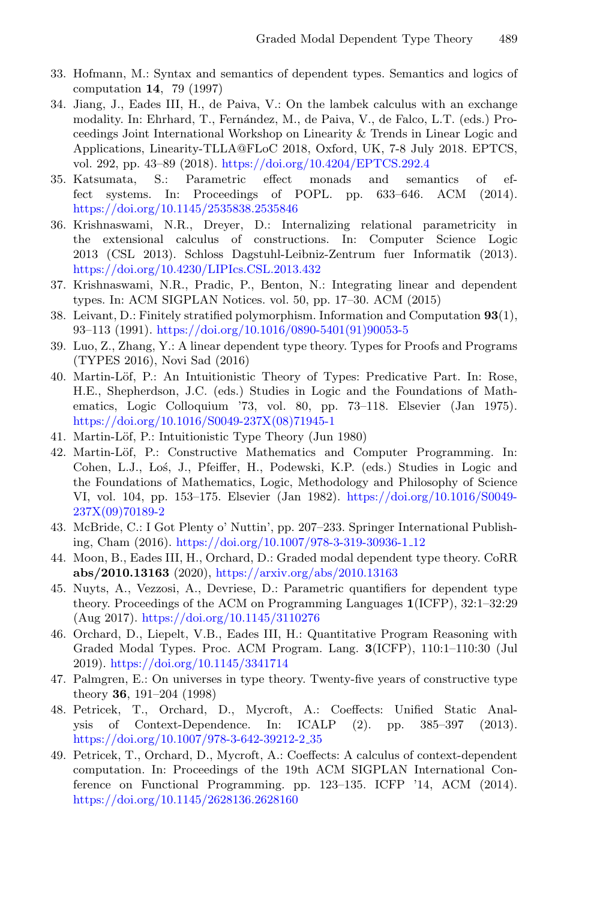- <span id="page-27-12"></span>33. Hofmann, M.: Syntax and semantics of dependent types. Semantics and logics of computation **14**, 79 (1997)
- <span id="page-27-16"></span>34. Jiang, J., Eades III, H., de Paiva, V.: On the lambek calculus with an exchange modality. In: Ehrhard, T., Fernández, M., de Paiva, V., de Falco, L.T. (eds.) Proceedings Joint International Workshop on Linearity & Trends in Linear Logic and Applications, Linearity-TLLA@FLoC 2018, Oxford, UK, 7-8 July 2018. EPTCS, vol. 292, pp. 43–89 (2018). <https://doi.org/10.4204/EPTCS.292.4>
- <span id="page-27-15"></span>35. Katsumata, S.: Parametric effect monads and semantics of effect systems. In: Proceedings of POPL. pp. 633–646. ACM (2014). <https://doi.org/10.1145/2535838.2535846>
- <span id="page-27-4"></span>36. Krishnaswami, N.R., Dreyer, D.: Internalizing relational parametricity in the extensional calculus of constructions. In: Computer Science Logic 2013 (CSL 2013). Schloss Dagstuhl-Leibniz-Zentrum fuer Informatik (2013). <https://doi.org/10.4230/LIPIcs.CSL.2013.432>
- <span id="page-27-6"></span>37. Krishnaswami, N.R., Pradic, P., Benton, N.: Integrating linear and dependent types. In: ACM SIGPLAN Notices. vol. 50, pp. 17–30. ACM (2015)
- <span id="page-27-13"></span>38. Leivant, D.: Finitely stratified polymorphism. Information and Computation **93**(1), 93–113 (1991). [https://doi.org/10.1016/0890-5401\(91\)90053-5](https://doi.org/10.1016/0890-5401(91)90053-5)
- <span id="page-27-7"></span>39. Luo, Z., Zhang, Y.: A linear dependent type theory. Types for Proofs and Programs (TYPES 2016), Novi Sad (2016)
- <span id="page-27-0"></span>40. Martin-Löf, P.: An Intuitionistic Theory of Types: Predicative Part. In: Rose, H.E., Shepherdson, J.C. (eds.) Studies in Logic and the Foundations of Mathematics, Logic Colloquium '73, vol. 80, pp. 73–118. Elsevier (Jan 1975). [https://doi.org/10.1016/S0049-237X\(08\)71945-1](https://doi.org/10.1016/S0049-237X(08)71945-1)
- <span id="page-27-1"></span>41. Martin-Löf, P.: Intuitionistic Type Theory (Jun 1980)
- <span id="page-27-2"></span>42. Martin-Löf, P.: Constructive Mathematics and Computer Programming. In: Cohen, L.J., Loś, J., Pfeiffer, H., Podewski, K.P. (eds.) Studies in Logic and the Foundations of Mathematics, Logic, Methodology and Philosophy of Science VI, vol. 104, pp. 153–175. Elsevier (Jan 1982). [https://doi.org/10.1016/S0049-](https://doi.org/10.1016/S0049-237X(09)70189-2) [237X\(09\)70189-2](https://doi.org/10.1016/S0049-237X(09)70189-2)
- <span id="page-27-8"></span>43. McBride, C.: I Got Plenty o' Nuttin', pp. 207–233. Springer International Publishing, Cham (2016). [https://doi.org/10.1007/978-3-319-30936-1](https://doi.org/10.1007/978-3-319-30936-1_12) 12
- <span id="page-27-10"></span>44. Moon, B., Eades III, H., Orchard, D.: Graded modal dependent type theory. CoRR **abs/2010.13163** (2020), <https://arxiv.org/abs/2010.13163>
- <span id="page-27-3"></span>45. Nuyts, A., Vezzosi, A., Devriese, D.: Parametric quantifiers for dependent type theory. Proceedings of the ACM on Programming Languages **1**(ICFP), 32:1–32:29 (Aug 2017). <https://doi.org/10.1145/3110276>
- <span id="page-27-5"></span>46. Orchard, D., Liepelt, V.B., Eades III, H.: Quantitative Program Reasoning with Graded Modal Types. Proc. ACM Program. Lang. **3**(ICFP), 110:1–110:30 (Jul 2019). <https://doi.org/10.1145/3341714>
- <span id="page-27-11"></span>47. Palmgren, E.: On universes in type theory. Twenty-five years of constructive type theory **36**, 191–204 (1998)
- <span id="page-27-14"></span>48. Petricek, T., Orchard, D., Mycroft, A.: Coeffects: Unified Static Analysis of Context-Dependence. In: ICALP (2). pp. 385–397 (2013). [https://doi.org/10.1007/978-3-642-39212-2](https://doi.org/10.1007/978-3-642-39212-2_35) 35
- <span id="page-27-9"></span>49. Petricek, T., Orchard, D., Mycroft, A.: Coeffects: A calculus of context-dependent computation. In: Proceedings of the 19th ACM SIGPLAN International Conference on Functional Programming. pp. 123–135. ICFP '14, ACM (2014). <https://doi.org/10.1145/2628136.2628160>